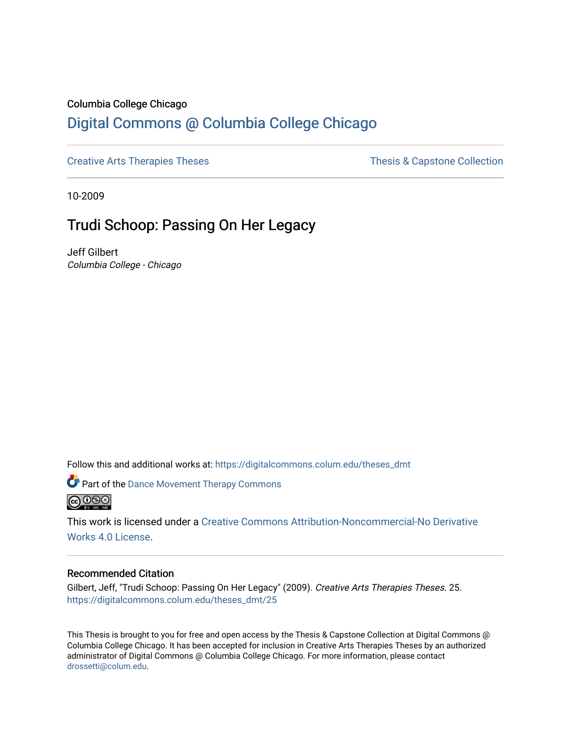### Columbia College Chicago

# [Digital Commons @ Columbia College Chicago](https://digitalcommons.colum.edu/)

[Creative Arts Therapies Theses](https://digitalcommons.colum.edu/theses_dmt) Theses Thesis & Capstone Collection

10-2009

# Trudi Schoop: Passing On Her Legacy

Jeff Gilbert Columbia College - Chicago

Follow this and additional works at: [https://digitalcommons.colum.edu/theses\\_dmt](https://digitalcommons.colum.edu/theses_dmt?utm_source=digitalcommons.colum.edu%2Ftheses_dmt%2F25&utm_medium=PDF&utm_campaign=PDFCoverPages) 



*C* Part of the Dance Movement Therapy Commons



This work is licensed under a [Creative Commons Attribution-Noncommercial-No Derivative](https://creativecommons.org/licenses/by-nc-nd/4.0/)  [Works 4.0 License](https://creativecommons.org/licenses/by-nc-nd/4.0/).

#### Recommended Citation

Gilbert, Jeff, "Trudi Schoop: Passing On Her Legacy" (2009). Creative Arts Therapies Theses. 25. [https://digitalcommons.colum.edu/theses\\_dmt/25](https://digitalcommons.colum.edu/theses_dmt/25?utm_source=digitalcommons.colum.edu%2Ftheses_dmt%2F25&utm_medium=PDF&utm_campaign=PDFCoverPages) 

This Thesis is brought to you for free and open access by the Thesis & Capstone Collection at Digital Commons @ Columbia College Chicago. It has been accepted for inclusion in Creative Arts Therapies Theses by an authorized administrator of Digital Commons @ Columbia College Chicago. For more information, please contact [drossetti@colum.edu](mailto:drossetti@colum.edu).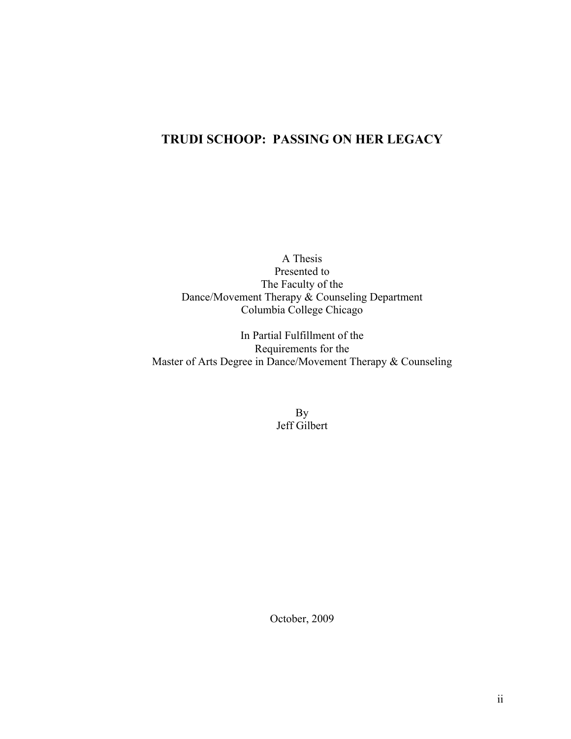# **TRUDI SCHOOP: PASSING ON HER LEGACY**

A Thesis Presented to The Faculty of the Dance/Movement Therapy & Counseling Department Columbia College Chicago

In Partial Fulfillment of the Requirements for the Master of Arts Degree in Dance/Movement Therapy & Counseling

> By Jeff Gilbert

October, 2009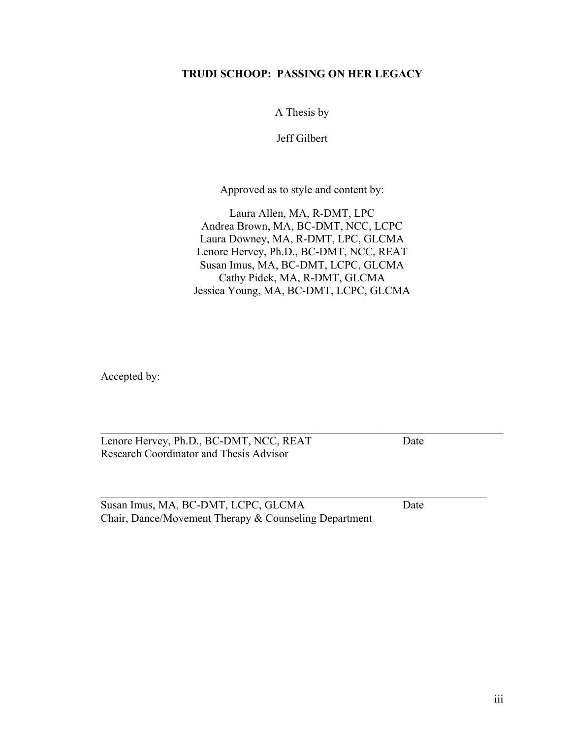## **TRUDI SCHOOP: PASSING ON HER LEGACY**

A Thesis by

Jeff Gilbert

Approved as to style and content by:

Laura Allen, MA, R-DMT, LPC Andrea Brown, MA, BC-DMT, NCC, LCPC Laura Downey, MA, R-DMT, LPC, GLCMA Lenore Hervey, Ph.D., BC-DMT, NCC, REAT Susan Imus, MA, BC-DMT, LCPC, GLCMA Cathy Pidek, MA, R-DMT, GLCMA Jessica Young, MA, BC-DMT, LCPC, GLCMA

 $\mathcal{L}_\text{max} = \mathcal{L}_\text{max} = \mathcal{L}_\text{max} = \mathcal{L}_\text{max} = \mathcal{L}_\text{max} = \mathcal{L}_\text{max} = \mathcal{L}_\text{max} = \mathcal{L}_\text{max} = \mathcal{L}_\text{max} = \mathcal{L}_\text{max} = \mathcal{L}_\text{max} = \mathcal{L}_\text{max} = \mathcal{L}_\text{max} = \mathcal{L}_\text{max} = \mathcal{L}_\text{max} = \mathcal{L}_\text{max} = \mathcal{L}_\text{max} = \mathcal{L}_\text{max} = \mathcal{$ 

 $\mathcal{L}_\text{max} = \frac{1}{2} \sum_{i=1}^n \mathcal{L}_\text{max}(\mathbf{z}_i - \mathbf{z}_i)$ 

Accepted by:

Lenore Hervey, Ph.D., BC-DMT, NCC, REAT Date Research Coordinator and Thesis Advisor

Susan Imus, MA, BC-DMT, LCPC, GLCMA Date Chair, Dance/Movement Therapy & Counseling Department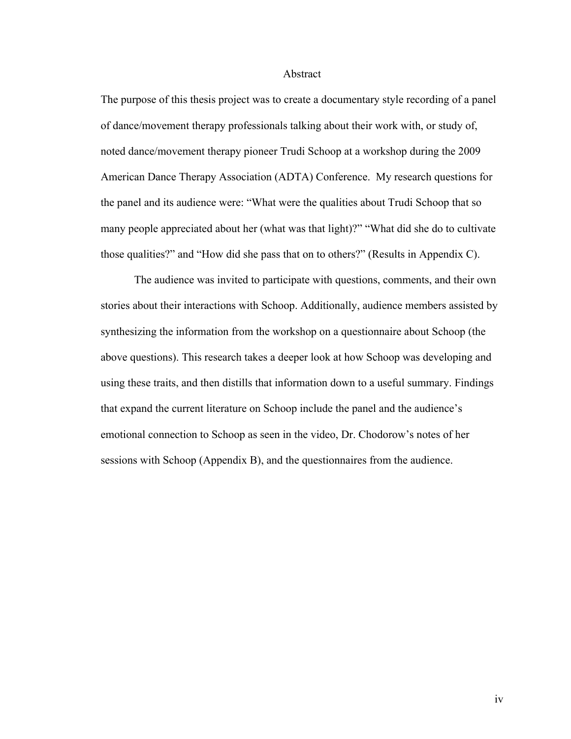#### Abstract

The purpose of this thesis project was to create a documentary style recording of a panel of dance/movement therapy professionals talking about their work with, or study of, noted dance/movement therapy pioneer Trudi Schoop at a workshop during the 2009 American Dance Therapy Association (ADTA) Conference. My research questions for the panel and its audience were: "What were the qualities about Trudi Schoop that so many people appreciated about her (what was that light)?" "What did she do to cultivate those qualities?" and "How did she pass that on to others?" (Results in Appendix C).

The audience was invited to participate with questions, comments, and their own stories about their interactions with Schoop. Additionally, audience members assisted by synthesizing the information from the workshop on a questionnaire about Schoop (the above questions). This research takes a deeper look at how Schoop was developing and using these traits, and then distills that information down to a useful summary. Findings that expand the current literature on Schoop include the panel and the audience's emotional connection to Schoop as seen in the video, Dr. Chodorow's notes of her sessions with Schoop (Appendix B), and the questionnaires from the audience.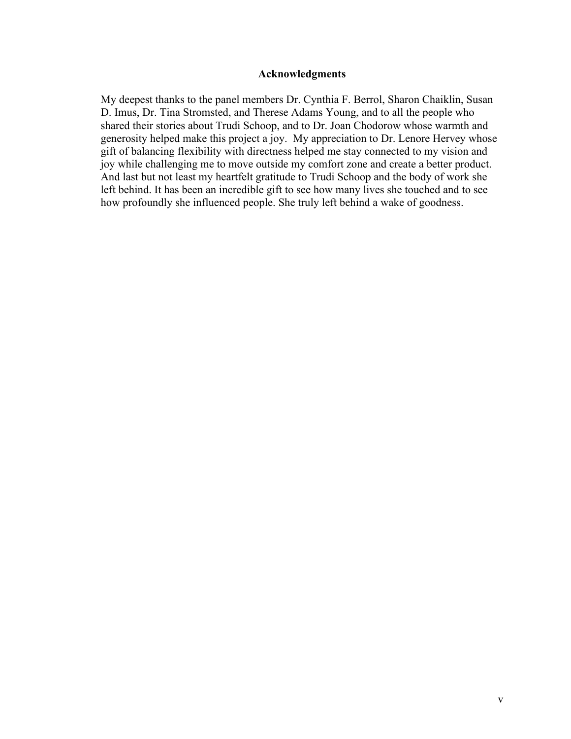### **Acknowledgments**

My deepest thanks to the panel members Dr. Cynthia F. Berrol, Sharon Chaiklin, Susan D. Imus, Dr. Tina Stromsted, and Therese Adams Young, and to all the people who shared their stories about Trudi Schoop, and to Dr. Joan Chodorow whose warmth and generosity helped make this project a joy. My appreciation to Dr. Lenore Hervey whose gift of balancing flexibility with directness helped me stay connected to my vision and joy while challenging me to move outside my comfort zone and create a better product. And last but not least my heartfelt gratitude to Trudi Schoop and the body of work she left behind. It has been an incredible gift to see how many lives she touched and to see how profoundly she influenced people. She truly left behind a wake of goodness.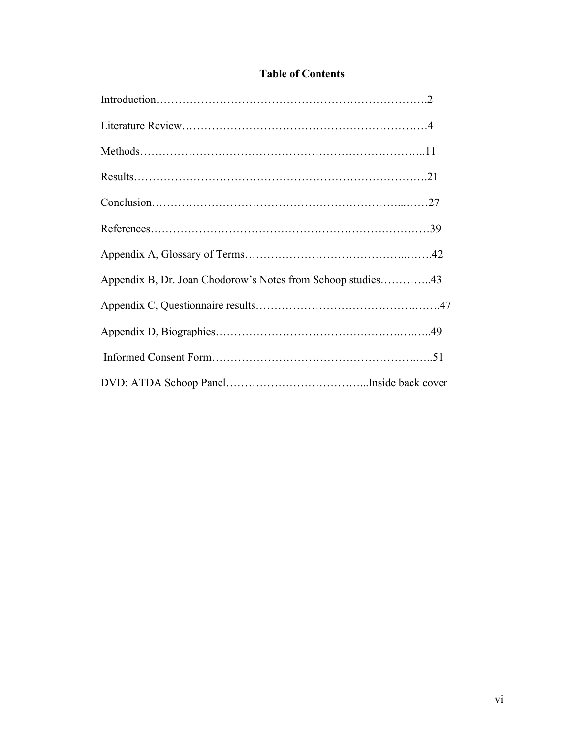## **Table of Contents**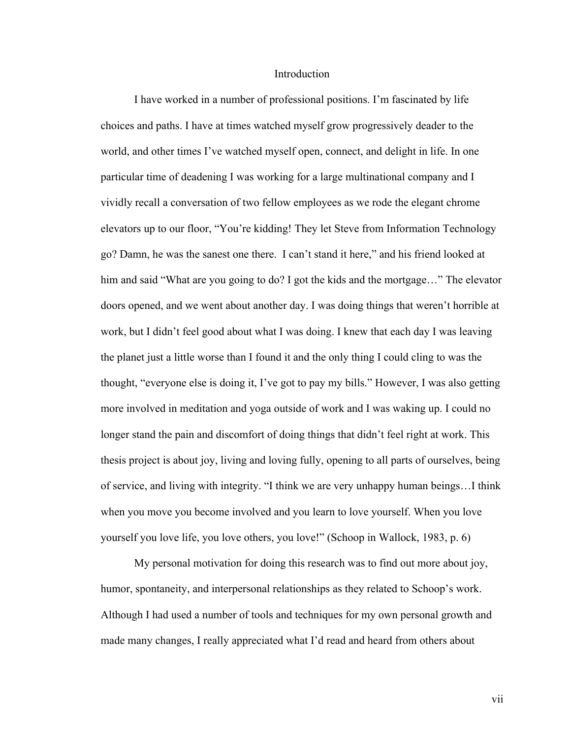#### Introduction

I have worked in a number of professional positions. I'm fascinated by life choices and paths. I have at times watched myself grow progressively deader to the world, and other times I've watched myself open, connect, and delight in life. In one particular time of deadening I was working for a large multinational company and I vividly recall a conversation of two fellow employees as we rode the elegant chrome elevators up to our floor, "You're kidding! They let Steve from Information Technology go? Damn, he was the sanest one there. I can't stand it here," and his friend looked at him and said "What are you going to do? I got the kids and the mortgage..." The elevator doors opened, and we went about another day. I was doing things that weren't horrible at work, but I didn't feel good about what I was doing. I knew that each day I was leaving the planet just a little worse than I found it and the only thing I could cling to was the thought, "everyone else is doing it, I've got to pay my bills." However, I was also getting more involved in meditation and yoga outside of work and I was waking up. I could no longer stand the pain and discomfort of doing things that didn't feel right at work. This thesis project is about joy, living and loving fully, opening to all parts of ourselves, being of service, and living with integrity. "I think we are very unhappy human beings…I think when you move you become involved and you learn to love yourself. When you love yourself you love life, you love others, you love!" (Schoop in Wallock, 1983, p. 6)

My personal motivation for doing this research was to find out more about joy, humor, spontaneity, and interpersonal relationships as they related to Schoop's work. Although I had used a number of tools and techniques for my own personal growth and made many changes, I really appreciated what I'd read and heard from others about

vii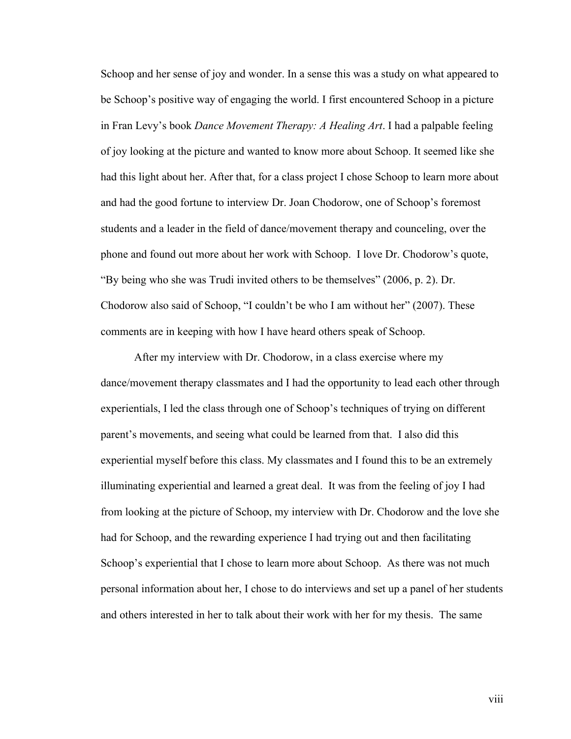Schoop and her sense of joy and wonder. In a sense this was a study on what appeared to be Schoop's positive way of engaging the world. I first encountered Schoop in a picture in Fran Levy's book *Dance Movement Therapy: A Healing Art*. I had a palpable feeling of joy looking at the picture and wanted to know more about Schoop. It seemed like she had this light about her. After that, for a class project I chose Schoop to learn more about and had the good fortune to interview Dr. Joan Chodorow, one of Schoop's foremost students and a leader in the field of dance/movement therapy and counceling, over the phone and found out more about her work with Schoop. I love Dr. Chodorow's quote, "By being who she was Trudi invited others to be themselves" (2006, p. 2). Dr. Chodorow also said of Schoop, "I couldn't be who I am without her" (2007). These comments are in keeping with how I have heard others speak of Schoop.

After my interview with Dr. Chodorow, in a class exercise where my dance/movement therapy classmates and I had the opportunity to lead each other through experientials, I led the class through one of Schoop's techniques of trying on different parent's movements, and seeing what could be learned from that. I also did this experiential myself before this class. My classmates and I found this to be an extremely illuminating experiential and learned a great deal. It was from the feeling of joy I had from looking at the picture of Schoop, my interview with Dr. Chodorow and the love she had for Schoop, and the rewarding experience I had trying out and then facilitating Schoop's experiential that I chose to learn more about Schoop. As there was not much personal information about her, I chose to do interviews and set up a panel of her students and others interested in her to talk about their work with her for my thesis. The same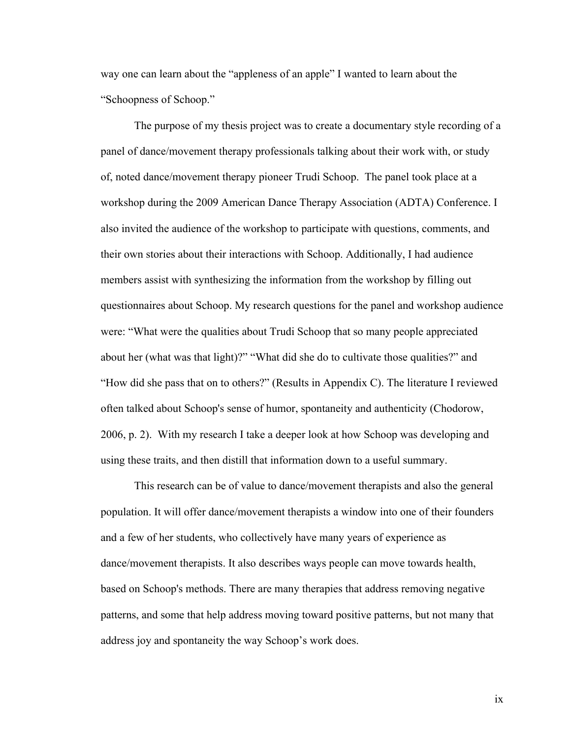way one can learn about the "appleness of an apple" I wanted to learn about the "Schoopness of Schoop."

The purpose of my thesis project was to create a documentary style recording of a panel of dance/movement therapy professionals talking about their work with, or study of, noted dance/movement therapy pioneer Trudi Schoop. The panel took place at a workshop during the 2009 American Dance Therapy Association (ADTA) Conference. I also invited the audience of the workshop to participate with questions, comments, and their own stories about their interactions with Schoop. Additionally, I had audience members assist with synthesizing the information from the workshop by filling out questionnaires about Schoop. My research questions for the panel and workshop audience were: "What were the qualities about Trudi Schoop that so many people appreciated about her (what was that light)?" "What did she do to cultivate those qualities?" and "How did she pass that on to others?" (Results in Appendix C). The literature I reviewed often talked about Schoop's sense of humor, spontaneity and authenticity (Chodorow, 2006, p. 2). With my research I take a deeper look at how Schoop was developing and using these traits, and then distill that information down to a useful summary.

This research can be of value to dance/movement therapists and also the general population. It will offer dance/movement therapists a window into one of their founders and a few of her students, who collectively have many years of experience as dance/movement therapists. It also describes ways people can move towards health, based on Schoop's methods. There are many therapies that address removing negative patterns, and some that help address moving toward positive patterns, but not many that address joy and spontaneity the way Schoop's work does.

ix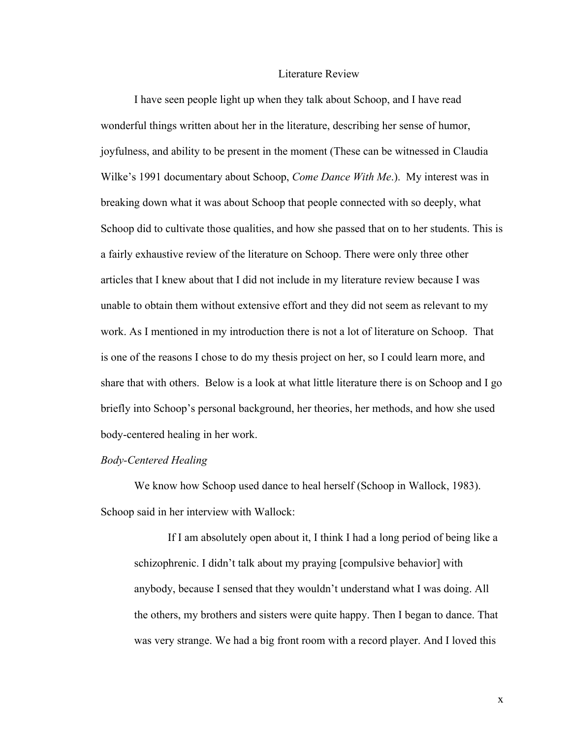#### Literature Review

I have seen people light up when they talk about Schoop, and I have read wonderful things written about her in the literature, describing her sense of humor, joyfulness, and ability to be present in the moment (These can be witnessed in Claudia Wilke's 1991 documentary about Schoop, *Come Dance With Me*.). My interest was in breaking down what it was about Schoop that people connected with so deeply, what Schoop did to cultivate those qualities, and how she passed that on to her students. This is a fairly exhaustive review of the literature on Schoop. There were only three other articles that I knew about that I did not include in my literature review because I was unable to obtain them without extensive effort and they did not seem as relevant to my work. As I mentioned in my introduction there is not a lot of literature on Schoop. That is one of the reasons I chose to do my thesis project on her, so I could learn more, and share that with others. Below is a look at what little literature there is on Schoop and I go briefly into Schoop's personal background, her theories, her methods, and how she used body-centered healing in her work.

#### *Body-Centered Healing*

We know how Schoop used dance to heal herself (Schoop in Wallock, 1983). Schoop said in her interview with Wallock:

If I am absolutely open about it, I think I had a long period of being like a schizophrenic. I didn't talk about my praying [compulsive behavior] with anybody, because I sensed that they wouldn't understand what I was doing. All the others, my brothers and sisters were quite happy. Then I began to dance. That was very strange. We had a big front room with a record player. And I loved this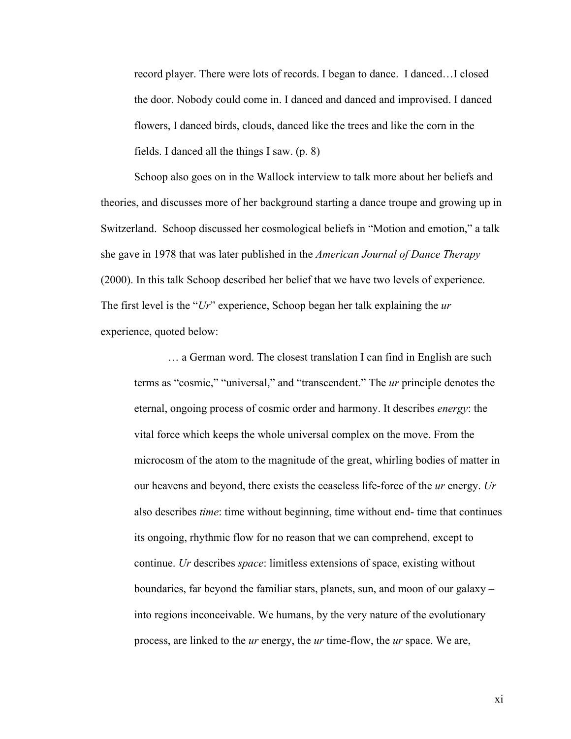record player. There were lots of records. I began to dance. I danced…I closed the door. Nobody could come in. I danced and danced and improvised. I danced flowers, I danced birds, clouds, danced like the trees and like the corn in the fields. I danced all the things I saw. (p. 8)

Schoop also goes on in the Wallock interview to talk more about her beliefs and theories, and discusses more of her background starting a dance troupe and growing up in Switzerland. Schoop discussed her cosmological beliefs in "Motion and emotion," a talk she gave in 1978 that was later published in the *American Journal of Dance Therapy* (2000). In this talk Schoop described her belief that we have two levels of experience. The first level is the "*Ur*" experience, Schoop began her talk explaining the *ur* experience, quoted below:

… a German word. The closest translation I can find in English are such terms as "cosmic," "universal," and "transcendent." The *ur* principle denotes the eternal, ongoing process of cosmic order and harmony. It describes *energy*: the vital force which keeps the whole universal complex on the move. From the microcosm of the atom to the magnitude of the great, whirling bodies of matter in our heavens and beyond, there exists the ceaseless life-force of the *ur* energy. *Ur* also describes *time*: time without beginning, time without end- time that continues its ongoing, rhythmic flow for no reason that we can comprehend, except to continue. *Ur* describes *space*: limitless extensions of space, existing without boundaries, far beyond the familiar stars, planets, sun, and moon of our galaxy – into regions inconceivable. We humans, by the very nature of the evolutionary process, are linked to the *ur* energy, the *ur* time-flow, the *ur* space. We are,

xi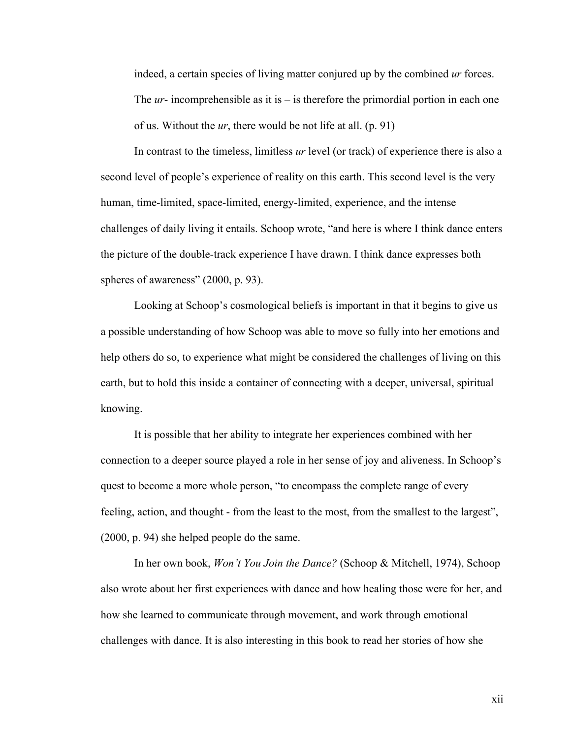indeed, a certain species of living matter conjured up by the combined *ur* forces. The *ur*- incomprehensible as it is – is therefore the primordial portion in each one of us. Without the *ur*, there would be not life at all. (p. 91)

In contrast to the timeless, limitless *ur* level (or track) of experience there is also a second level of people's experience of reality on this earth. This second level is the very human, time-limited, space-limited, energy-limited, experience, and the intense challenges of daily living it entails. Schoop wrote, "and here is where I think dance enters the picture of the double-track experience I have drawn. I think dance expresses both spheres of awareness" (2000, p. 93).

Looking at Schoop's cosmological beliefs is important in that it begins to give us a possible understanding of how Schoop was able to move so fully into her emotions and help others do so, to experience what might be considered the challenges of living on this earth, but to hold this inside a container of connecting with a deeper, universal, spiritual knowing.

It is possible that her ability to integrate her experiences combined with her connection to a deeper source played a role in her sense of joy and aliveness. In Schoop's quest to become a more whole person, "to encompass the complete range of every feeling, action, and thought - from the least to the most, from the smallest to the largest", (2000, p. 94) she helped people do the same.

In her own book, *Won't You Join the Dance?* (Schoop & Mitchell, 1974), Schoop also wrote about her first experiences with dance and how healing those were for her, and how she learned to communicate through movement, and work through emotional challenges with dance. It is also interesting in this book to read her stories of how she

xii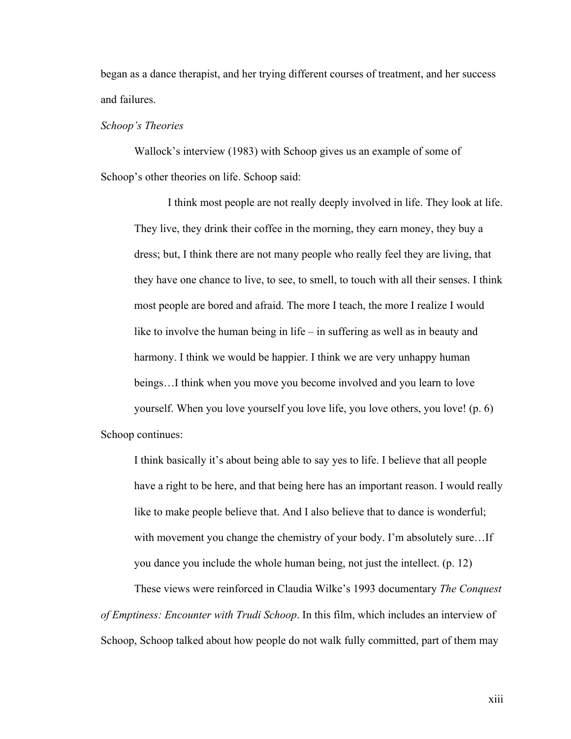began as a dance therapist, and her trying different courses of treatment, and her success and failures.

#### *Schoop's Theories*

Wallock's interview (1983) with Schoop gives us an example of some of Schoop's other theories on life. Schoop said:

I think most people are not really deeply involved in life. They look at life. They live, they drink their coffee in the morning, they earn money, they buy a dress; but, I think there are not many people who really feel they are living, that they have one chance to live, to see, to smell, to touch with all their senses. I think most people are bored and afraid. The more I teach, the more I realize I would like to involve the human being in life – in suffering as well as in beauty and harmony. I think we would be happier. I think we are very unhappy human beings…I think when you move you become involved and you learn to love yourself. When you love yourself you love life, you love others, you love! (p. 6) Schoop continues:

I think basically it's about being able to say yes to life. I believe that all people have a right to be here, and that being here has an important reason. I would really like to make people believe that. And I also believe that to dance is wonderful; with movement you change the chemistry of your body. I'm absolutely sure...If you dance you include the whole human being, not just the intellect. (p. 12)

These views were reinforced in Claudia Wilke's 1993 documentary *The Conquest of Emptiness: Encounter with Trudi Schoop*. In this film, which includes an interview of Schoop, Schoop talked about how people do not walk fully committed, part of them may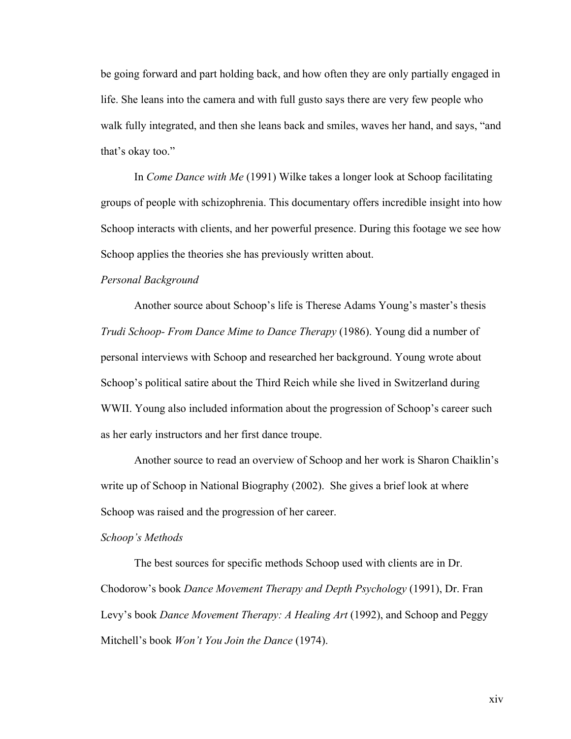be going forward and part holding back, and how often they are only partially engaged in life. She leans into the camera and with full gusto says there are very few people who walk fully integrated, and then she leans back and smiles, waves her hand, and says, "and that's okay too."

In *Come Dance with Me* (1991) Wilke takes a longer look at Schoop facilitating groups of people with schizophrenia. This documentary offers incredible insight into how Schoop interacts with clients, and her powerful presence. During this footage we see how Schoop applies the theories she has previously written about.

#### *Personal Background*

Another source about Schoop's life is Therese Adams Young's master's thesis *Trudi Schoop- From Dance Mime to Dance Therapy* (1986). Young did a number of personal interviews with Schoop and researched her background. Young wrote about Schoop's political satire about the Third Reich while she lived in Switzerland during WWII. Young also included information about the progression of Schoop's career such as her early instructors and her first dance troupe.

Another source to read an overview of Schoop and her work is Sharon Chaiklin's write up of Schoop in National Biography (2002). She gives a brief look at where Schoop was raised and the progression of her career.

#### *Schoop's Methods*

The best sources for specific methods Schoop used with clients are in Dr. Chodorow's book *Dance Movement Therapy and Depth Psychology* (1991), Dr. Fran Levy's book *Dance Movement Therapy: A Healing Art* (1992), and Schoop and Peggy Mitchell's book *Won't You Join the Dance* (1974).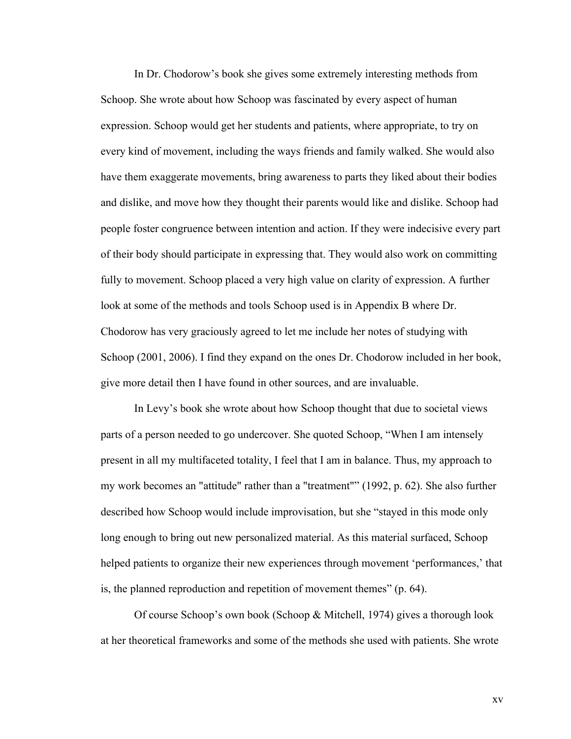In Dr. Chodorow's book she gives some extremely interesting methods from Schoop. She wrote about how Schoop was fascinated by every aspect of human expression. Schoop would get her students and patients, where appropriate, to try on every kind of movement, including the ways friends and family walked. She would also have them exaggerate movements, bring awareness to parts they liked about their bodies and dislike, and move how they thought their parents would like and dislike. Schoop had people foster congruence between intention and action. If they were indecisive every part of their body should participate in expressing that. They would also work on committing fully to movement. Schoop placed a very high value on clarity of expression. A further look at some of the methods and tools Schoop used is in Appendix B where Dr. Chodorow has very graciously agreed to let me include her notes of studying with Schoop (2001, 2006). I find they expand on the ones Dr. Chodorow included in her book, give more detail then I have found in other sources, and are invaluable.

In Levy's book she wrote about how Schoop thought that due to societal views parts of a person needed to go undercover. She quoted Schoop, "When I am intensely present in all my multifaceted totality, I feel that I am in balance. Thus, my approach to my work becomes an "attitude" rather than a "treatment"" (1992, p. 62). She also further described how Schoop would include improvisation, but she "stayed in this mode only long enough to bring out new personalized material. As this material surfaced, Schoop helped patients to organize their new experiences through movement 'performances,' that is, the planned reproduction and repetition of movement themes" (p. 64).

Of course Schoop's own book (Schoop & Mitchell, 1974) gives a thorough look at her theoretical frameworks and some of the methods she used with patients. She wrote

xv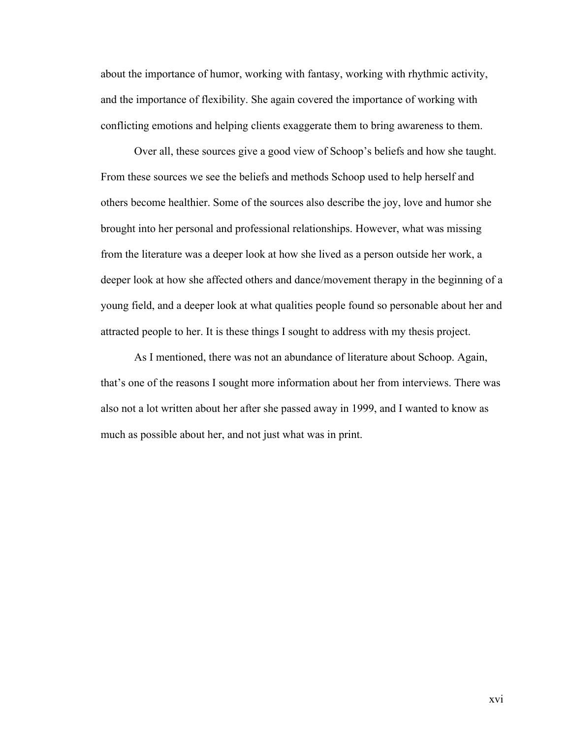about the importance of humor, working with fantasy, working with rhythmic activity, and the importance of flexibility. She again covered the importance of working with conflicting emotions and helping clients exaggerate them to bring awareness to them.

Over all, these sources give a good view of Schoop's beliefs and how she taught. From these sources we see the beliefs and methods Schoop used to help herself and others become healthier. Some of the sources also describe the joy, love and humor she brought into her personal and professional relationships. However, what was missing from the literature was a deeper look at how she lived as a person outside her work, a deeper look at how she affected others and dance/movement therapy in the beginning of a young field, and a deeper look at what qualities people found so personable about her and attracted people to her. It is these things I sought to address with my thesis project.

As I mentioned, there was not an abundance of literature about Schoop. Again, that's one of the reasons I sought more information about her from interviews. There was also not a lot written about her after she passed away in 1999, and I wanted to know as much as possible about her, and not just what was in print.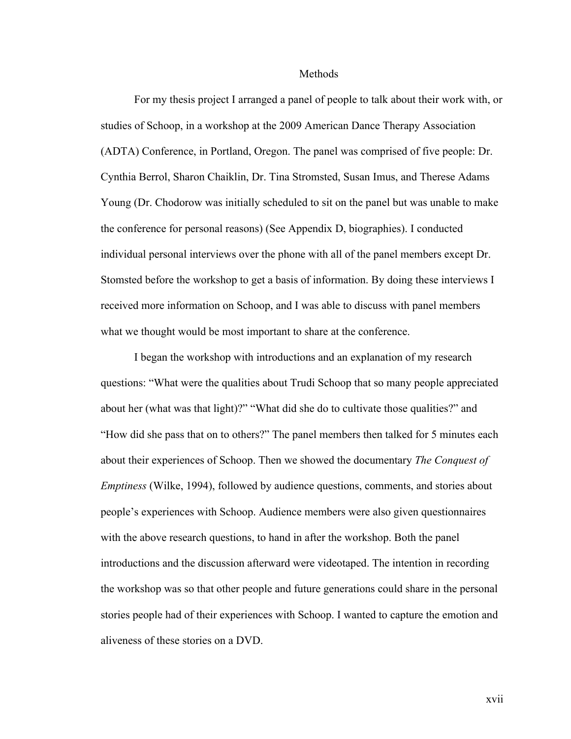Methods

For my thesis project I arranged a panel of people to talk about their work with, or studies of Schoop, in a workshop at the 2009 American Dance Therapy Association (ADTA) Conference, in Portland, Oregon. The panel was comprised of five people: Dr. Cynthia Berrol, Sharon Chaiklin, Dr. Tina Stromsted, Susan Imus, and Therese Adams Young (Dr. Chodorow was initially scheduled to sit on the panel but was unable to make the conference for personal reasons) (See Appendix D, biographies). I conducted individual personal interviews over the phone with all of the panel members except Dr. Stomsted before the workshop to get a basis of information. By doing these interviews I received more information on Schoop, and I was able to discuss with panel members what we thought would be most important to share at the conference.

I began the workshop with introductions and an explanation of my research questions: "What were the qualities about Trudi Schoop that so many people appreciated about her (what was that light)?" "What did she do to cultivate those qualities?" and "How did she pass that on to others?" The panel members then talked for 5 minutes each about their experiences of Schoop. Then we showed the documentary *The Conquest of Emptiness* (Wilke, 1994), followed by audience questions, comments, and stories about people's experiences with Schoop. Audience members were also given questionnaires with the above research questions, to hand in after the workshop. Both the panel introductions and the discussion afterward were videotaped. The intention in recording the workshop was so that other people and future generations could share in the personal stories people had of their experiences with Schoop. I wanted to capture the emotion and aliveness of these stories on a DVD.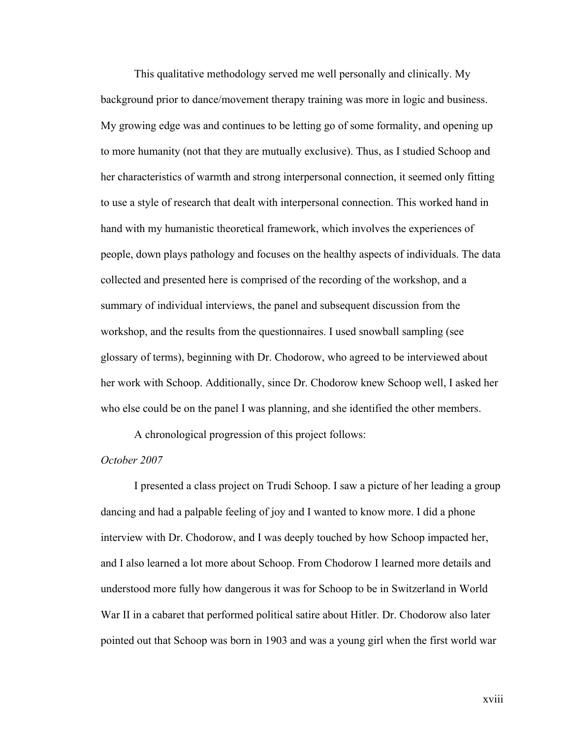This qualitative methodology served me well personally and clinically. My background prior to dance/movement therapy training was more in logic and business. My growing edge was and continues to be letting go of some formality, and opening up to more humanity (not that they are mutually exclusive). Thus, as I studied Schoop and her characteristics of warmth and strong interpersonal connection, it seemed only fitting to use a style of research that dealt with interpersonal connection. This worked hand in hand with my humanistic theoretical framework, which involves the experiences of people, down plays pathology and focuses on the healthy aspects of individuals. The data collected and presented here is comprised of the recording of the workshop, and a summary of individual interviews, the panel and subsequent discussion from the workshop, and the results from the questionnaires. I used snowball sampling (see glossary of terms), beginning with Dr. Chodorow, who agreed to be interviewed about her work with Schoop. Additionally, since Dr. Chodorow knew Schoop well, I asked her who else could be on the panel I was planning, and she identified the other members.

A chronological progression of this project follows:

### *October 2007*

I presented a class project on Trudi Schoop. I saw a picture of her leading a group dancing and had a palpable feeling of joy and I wanted to know more. I did a phone interview with Dr. Chodorow, and I was deeply touched by how Schoop impacted her, and I also learned a lot more about Schoop. From Chodorow I learned more details and understood more fully how dangerous it was for Schoop to be in Switzerland in World War II in a cabaret that performed political satire about Hitler. Dr. Chodorow also later pointed out that Schoop was born in 1903 and was a young girl when the first world war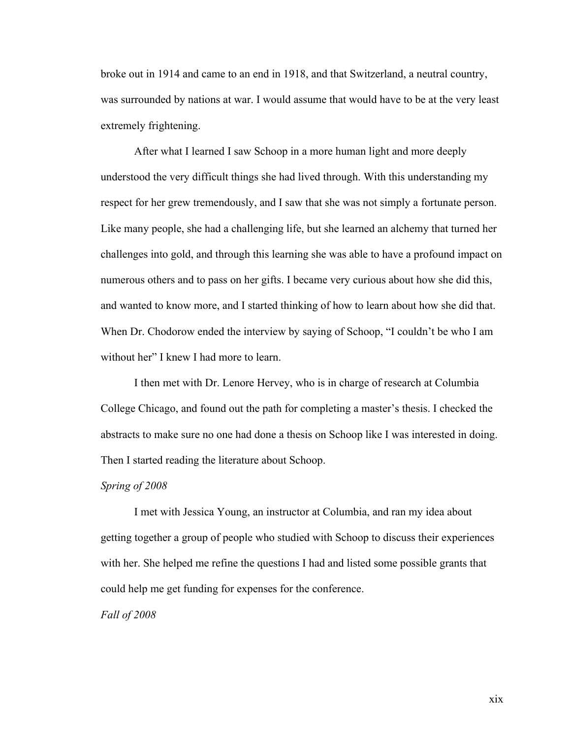broke out in 1914 and came to an end in 1918, and that Switzerland, a neutral country, was surrounded by nations at war. I would assume that would have to be at the very least extremely frightening.

After what I learned I saw Schoop in a more human light and more deeply understood the very difficult things she had lived through. With this understanding my respect for her grew tremendously, and I saw that she was not simply a fortunate person. Like many people, she had a challenging life, but she learned an alchemy that turned her challenges into gold, and through this learning she was able to have a profound impact on numerous others and to pass on her gifts. I became very curious about how she did this, and wanted to know more, and I started thinking of how to learn about how she did that. When Dr. Chodorow ended the interview by saying of Schoop, "I couldn't be who I am without her" I knew I had more to learn.

I then met with Dr. Lenore Hervey, who is in charge of research at Columbia College Chicago, and found out the path for completing a master's thesis. I checked the abstracts to make sure no one had done a thesis on Schoop like I was interested in doing. Then I started reading the literature about Schoop.

#### *Spring of 2008*

I met with Jessica Young, an instructor at Columbia, and ran my idea about getting together a group of people who studied with Schoop to discuss their experiences with her. She helped me refine the questions I had and listed some possible grants that could help me get funding for expenses for the conference.

#### *Fall of 2008*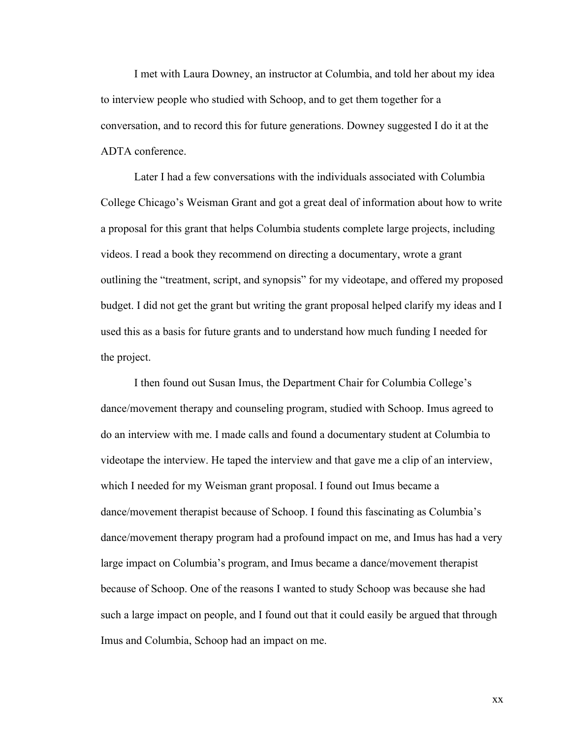I met with Laura Downey, an instructor at Columbia, and told her about my idea to interview people who studied with Schoop, and to get them together for a conversation, and to record this for future generations. Downey suggested I do it at the ADTA conference.

Later I had a few conversations with the individuals associated with Columbia College Chicago's Weisman Grant and got a great deal of information about how to write a proposal for this grant that helps Columbia students complete large projects, including videos. I read a book they recommend on directing a documentary, wrote a grant outlining the "treatment, script, and synopsis" for my videotape, and offered my proposed budget. I did not get the grant but writing the grant proposal helped clarify my ideas and I used this as a basis for future grants and to understand how much funding I needed for the project.

I then found out Susan Imus, the Department Chair for Columbia College's dance/movement therapy and counseling program, studied with Schoop. Imus agreed to do an interview with me. I made calls and found a documentary student at Columbia to videotape the interview. He taped the interview and that gave me a clip of an interview, which I needed for my Weisman grant proposal. I found out Imus became a dance/movement therapist because of Schoop. I found this fascinating as Columbia's dance/movement therapy program had a profound impact on me, and Imus has had a very large impact on Columbia's program, and Imus became a dance/movement therapist because of Schoop. One of the reasons I wanted to study Schoop was because she had such a large impact on people, and I found out that it could easily be argued that through Imus and Columbia, Schoop had an impact on me.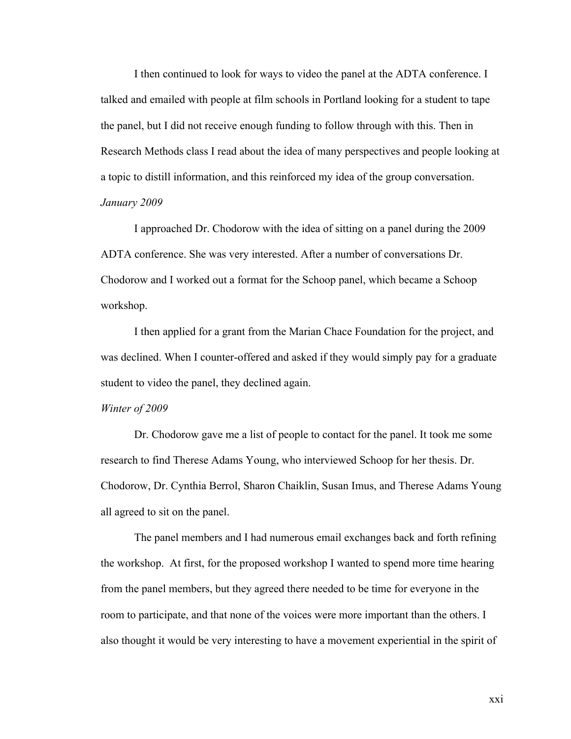I then continued to look for ways to video the panel at the ADTA conference. I talked and emailed with people at film schools in Portland looking for a student to tape the panel, but I did not receive enough funding to follow through with this. Then in Research Methods class I read about the idea of many perspectives and people looking at a topic to distill information, and this reinforced my idea of the group conversation. *January 2009*

I approached Dr. Chodorow with the idea of sitting on a panel during the 2009 ADTA conference. She was very interested. After a number of conversations Dr. Chodorow and I worked out a format for the Schoop panel, which became a Schoop workshop.

I then applied for a grant from the Marian Chace Foundation for the project, and was declined. When I counter-offered and asked if they would simply pay for a graduate student to video the panel, they declined again.

#### *Winter of 2009*

Dr. Chodorow gave me a list of people to contact for the panel. It took me some research to find Therese Adams Young, who interviewed Schoop for her thesis. Dr. Chodorow, Dr. Cynthia Berrol, Sharon Chaiklin, Susan Imus, and Therese Adams Young all agreed to sit on the panel.

The panel members and I had numerous email exchanges back and forth refining the workshop. At first, for the proposed workshop I wanted to spend more time hearing from the panel members, but they agreed there needed to be time for everyone in the room to participate, and that none of the voices were more important than the others. I also thought it would be very interesting to have a movement experiential in the spirit of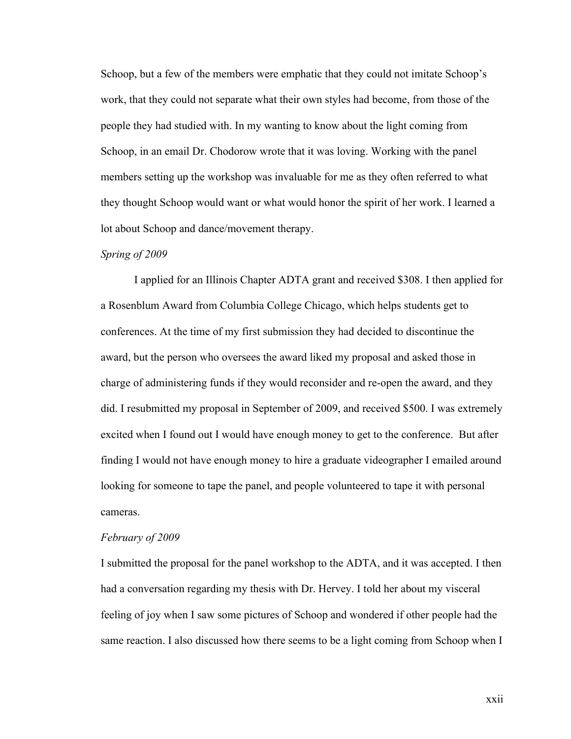Schoop, but a few of the members were emphatic that they could not imitate Schoop's work, that they could not separate what their own styles had become, from those of the people they had studied with. In my wanting to know about the light coming from Schoop, in an email Dr. Chodorow wrote that it was loving. Working with the panel members setting up the workshop was invaluable for me as they often referred to what they thought Schoop would want or what would honor the spirit of her work. I learned a lot about Schoop and dance/movement therapy.

#### *Spring of 2009*

I applied for an Illinois Chapter ADTA grant and received \$308. I then applied for a Rosenblum Award from Columbia College Chicago, which helps students get to conferences. At the time of my first submission they had decided to discontinue the award, but the person who oversees the award liked my proposal and asked those in charge of administering funds if they would reconsider and re-open the award, and they did. I resubmitted my proposal in September of 2009, and received \$500. I was extremely excited when I found out I would have enough money to get to the conference. But after finding I would not have enough money to hire a graduate videographer I emailed around looking for someone to tape the panel, and people volunteered to tape it with personal cameras.

#### *February of 2009*

I submitted the proposal for the panel workshop to the ADTA, and it was accepted. I then had a conversation regarding my thesis with Dr. Hervey. I told her about my visceral feeling of joy when I saw some pictures of Schoop and wondered if other people had the same reaction. I also discussed how there seems to be a light coming from Schoop when I

xxii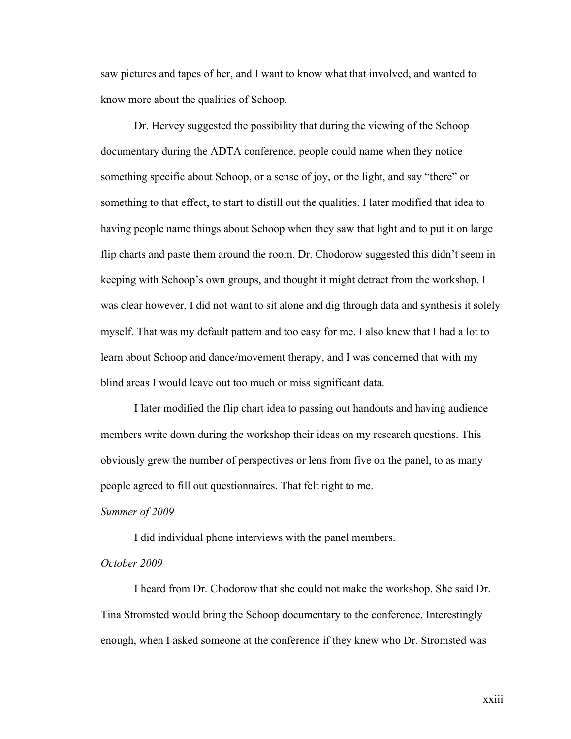saw pictures and tapes of her, and I want to know what that involved, and wanted to know more about the qualities of Schoop.

Dr. Hervey suggested the possibility that during the viewing of the Schoop documentary during the ADTA conference, people could name when they notice something specific about Schoop, or a sense of joy, or the light, and say "there" or something to that effect, to start to distill out the qualities. I later modified that idea to having people name things about Schoop when they saw that light and to put it on large flip charts and paste them around the room. Dr. Chodorow suggested this didn't seem in keeping with Schoop's own groups, and thought it might detract from the workshop. I was clear however, I did not want to sit alone and dig through data and synthesis it solely myself. That was my default pattern and too easy for me. I also knew that I had a lot to learn about Schoop and dance/movement therapy, and I was concerned that with my blind areas I would leave out too much or miss significant data.

I later modified the flip chart idea to passing out handouts and having audience members write down during the workshop their ideas on my research questions. This obviously grew the number of perspectives or lens from five on the panel, to as many people agreed to fill out questionnaires. That felt right to me.

#### *Summer of 2009*

I did individual phone interviews with the panel members.

#### *October 2009*

I heard from Dr. Chodorow that she could not make the workshop. She said Dr. Tina Stromsted would bring the Schoop documentary to the conference. Interestingly enough, when I asked someone at the conference if they knew who Dr. Stromsted was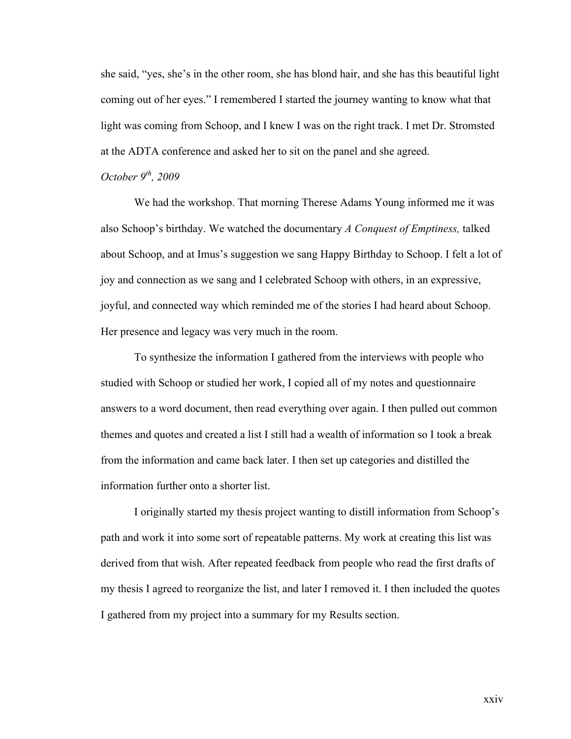she said, "yes, she's in the other room, she has blond hair, and she has this beautiful light coming out of her eyes." I remembered I started the journey wanting to know what that light was coming from Schoop, and I knew I was on the right track. I met Dr. Stromsted at the ADTA conference and asked her to sit on the panel and she agreed.

## *October 9th, 2009*

We had the workshop. That morning Therese Adams Young informed me it was also Schoop's birthday. We watched the documentary *A Conquest of Emptiness,* talked about Schoop, and at Imus's suggestion we sang Happy Birthday to Schoop. I felt a lot of joy and connection as we sang and I celebrated Schoop with others, in an expressive, joyful, and connected way which reminded me of the stories I had heard about Schoop. Her presence and legacy was very much in the room.

To synthesize the information I gathered from the interviews with people who studied with Schoop or studied her work, I copied all of my notes and questionnaire answers to a word document, then read everything over again. I then pulled out common themes and quotes and created a list I still had a wealth of information so I took a break from the information and came back later. I then set up categories and distilled the information further onto a shorter list.

I originally started my thesis project wanting to distill information from Schoop's path and work it into some sort of repeatable patterns. My work at creating this list was derived from that wish. After repeated feedback from people who read the first drafts of my thesis I agreed to reorganize the list, and later I removed it. I then included the quotes I gathered from my project into a summary for my Results section.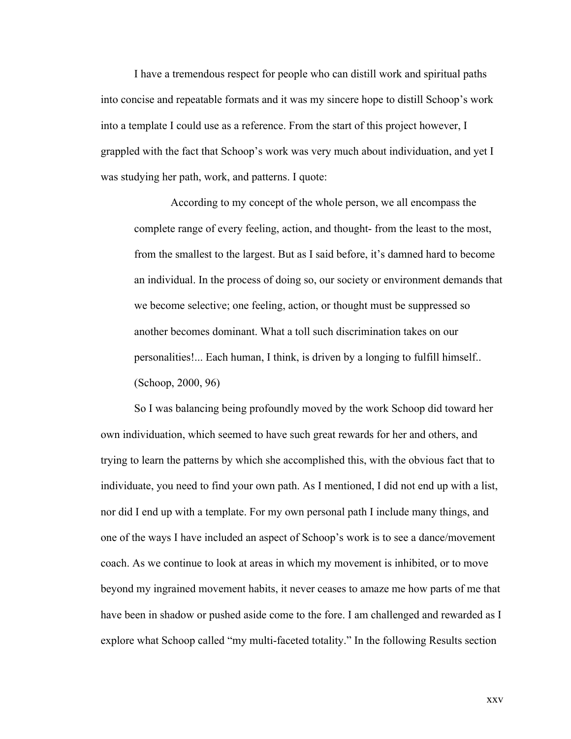I have a tremendous respect for people who can distill work and spiritual paths into concise and repeatable formats and it was my sincere hope to distill Schoop's work into a template I could use as a reference. From the start of this project however, I grappled with the fact that Schoop's work was very much about individuation, and yet I was studying her path, work, and patterns. I quote:

 According to my concept of the whole person, we all encompass the complete range of every feeling, action, and thought- from the least to the most, from the smallest to the largest. But as I said before, it's damned hard to become an individual. In the process of doing so, our society or environment demands that we become selective; one feeling, action, or thought must be suppressed so another becomes dominant. What a toll such discrimination takes on our personalities!... Each human, I think, is driven by a longing to fulfill himself.. (Schoop, 2000, 96)

So I was balancing being profoundly moved by the work Schoop did toward her own individuation, which seemed to have such great rewards for her and others, and trying to learn the patterns by which she accomplished this, with the obvious fact that to individuate, you need to find your own path. As I mentioned, I did not end up with a list, nor did I end up with a template. For my own personal path I include many things, and one of the ways I have included an aspect of Schoop's work is to see a dance/movement coach. As we continue to look at areas in which my movement is inhibited, or to move beyond my ingrained movement habits, it never ceases to amaze me how parts of me that have been in shadow or pushed aside come to the fore. I am challenged and rewarded as I explore what Schoop called "my multi-faceted totality." In the following Results section

xxv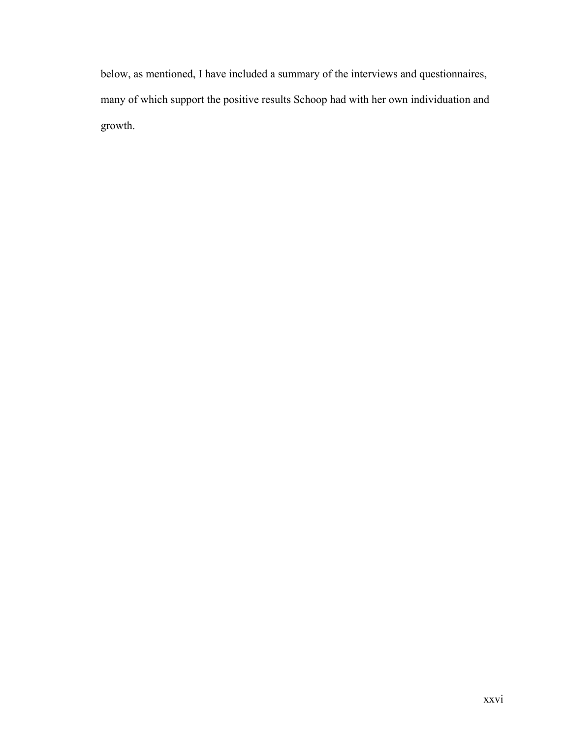below, as mentioned, I have included a summary of the interviews and questionnaires, many of which support the positive results Schoop had with her own individuation and growth.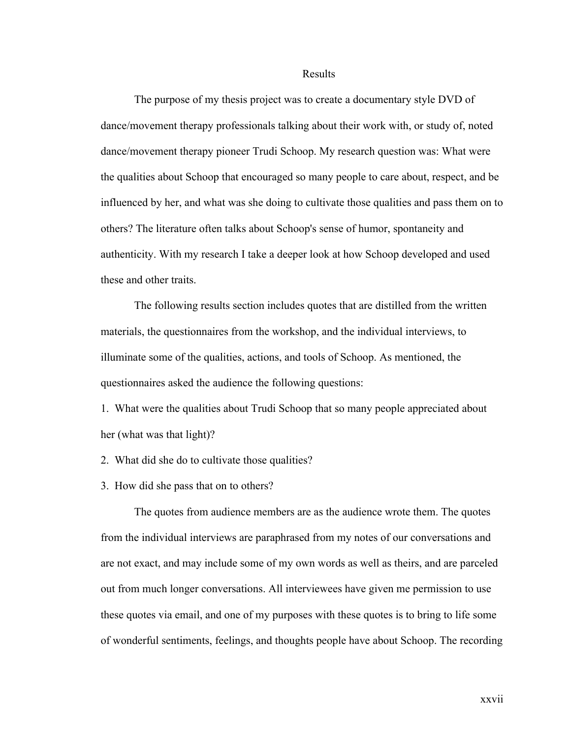#### Results

The purpose of my thesis project was to create a documentary style DVD of dance/movement therapy professionals talking about their work with, or study of, noted dance/movement therapy pioneer Trudi Schoop. My research question was: What were the qualities about Schoop that encouraged so many people to care about, respect, and be influenced by her, and what was she doing to cultivate those qualities and pass them on to others? The literature often talks about Schoop's sense of humor, spontaneity and authenticity. With my research I take a deeper look at how Schoop developed and used these and other traits.

The following results section includes quotes that are distilled from the written materials, the questionnaires from the workshop, and the individual interviews, to illuminate some of the qualities, actions, and tools of Schoop. As mentioned, the questionnaires asked the audience the following questions:

1. What were the qualities about Trudi Schoop that so many people appreciated about her (what was that light)?

2. What did she do to cultivate those qualities?

3. How did she pass that on to others?

The quotes from audience members are as the audience wrote them. The quotes from the individual interviews are paraphrased from my notes of our conversations and are not exact, and may include some of my own words as well as theirs, and are parceled out from much longer conversations. All interviewees have given me permission to use these quotes via email, and one of my purposes with these quotes is to bring to life some of wonderful sentiments, feelings, and thoughts people have about Schoop. The recording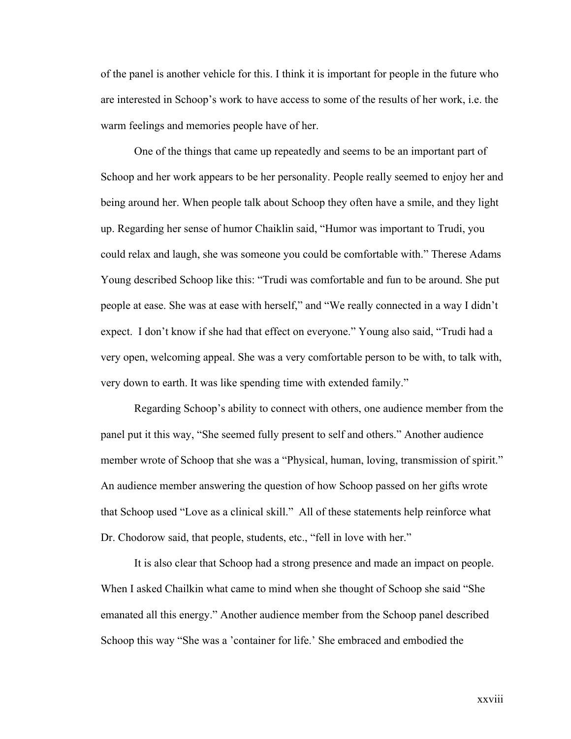of the panel is another vehicle for this. I think it is important for people in the future who are interested in Schoop's work to have access to some of the results of her work, i.e. the warm feelings and memories people have of her.

One of the things that came up repeatedly and seems to be an important part of Schoop and her work appears to be her personality. People really seemed to enjoy her and being around her. When people talk about Schoop they often have a smile, and they light up. Regarding her sense of humor Chaiklin said, "Humor was important to Trudi, you could relax and laugh, she was someone you could be comfortable with." Therese Adams Young described Schoop like this: "Trudi was comfortable and fun to be around. She put people at ease. She was at ease with herself," and "We really connected in a way I didn't expect. I don't know if she had that effect on everyone." Young also said, "Trudi had a very open, welcoming appeal. She was a very comfortable person to be with, to talk with, very down to earth. It was like spending time with extended family."

Regarding Schoop's ability to connect with others, one audience member from the panel put it this way, "She seemed fully present to self and others." Another audience member wrote of Schoop that she was a "Physical, human, loving, transmission of spirit." An audience member answering the question of how Schoop passed on her gifts wrote that Schoop used "Love as a clinical skill." All of these statements help reinforce what Dr. Chodorow said, that people, students, etc., "fell in love with her."

It is also clear that Schoop had a strong presence and made an impact on people. When I asked Chailkin what came to mind when she thought of Schoop she said "She emanated all this energy." Another audience member from the Schoop panel described Schoop this way "She was a 'container for life.' She embraced and embodied the

xxviii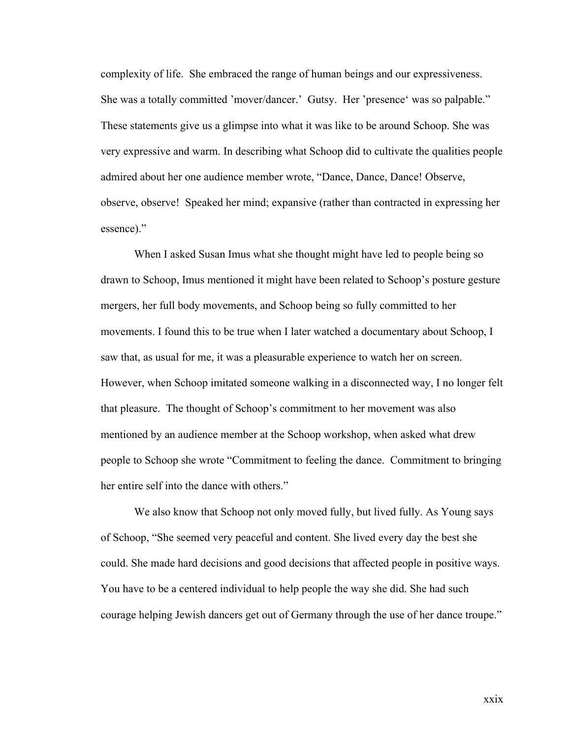complexity of life. She embraced the range of human beings and our expressiveness. She was a totally committed 'mover/dancer.' Gutsy. Her 'presence' was so palpable." These statements give us a glimpse into what it was like to be around Schoop. She was very expressive and warm. In describing what Schoop did to cultivate the qualities people admired about her one audience member wrote, "Dance, Dance, Dance! Observe, observe, observe! Speaked her mind; expansive (rather than contracted in expressing her essence)."

When I asked Susan Imus what she thought might have led to people being so drawn to Schoop, Imus mentioned it might have been related to Schoop's posture gesture mergers, her full body movements, and Schoop being so fully committed to her movements. I found this to be true when I later watched a documentary about Schoop, I saw that, as usual for me, it was a pleasurable experience to watch her on screen. However, when Schoop imitated someone walking in a disconnected way, I no longer felt that pleasure. The thought of Schoop's commitment to her movement was also mentioned by an audience member at the Schoop workshop, when asked what drew people to Schoop she wrote "Commitment to feeling the dance. Commitment to bringing her entire self into the dance with others."

We also know that Schoop not only moved fully, but lived fully. As Young says of Schoop, "She seemed very peaceful and content. She lived every day the best she could. She made hard decisions and good decisions that affected people in positive ways. You have to be a centered individual to help people the way she did. She had such courage helping Jewish dancers get out of Germany through the use of her dance troupe."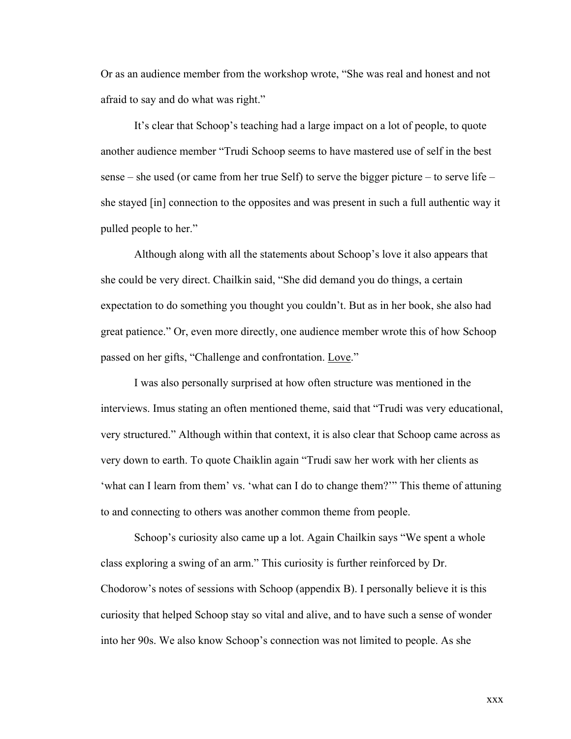Or as an audience member from the workshop wrote, "She was real and honest and not afraid to say and do what was right."

It's clear that Schoop's teaching had a large impact on a lot of people, to quote another audience member "Trudi Schoop seems to have mastered use of self in the best sense – she used (or came from her true Self) to serve the bigger picture – to serve life – she stayed [in] connection to the opposites and was present in such a full authentic way it pulled people to her."

Although along with all the statements about Schoop's love it also appears that she could be very direct. Chailkin said, "She did demand you do things, a certain expectation to do something you thought you couldn't. But as in her book, she also had great patience." Or, even more directly, one audience member wrote this of how Schoop passed on her gifts, "Challenge and confrontation. Love."

I was also personally surprised at how often structure was mentioned in the interviews. Imus stating an often mentioned theme, said that "Trudi was very educational, very structured." Although within that context, it is also clear that Schoop came across as very down to earth. To quote Chaiklin again "Trudi saw her work with her clients as 'what can I learn from them' vs. 'what can I do to change them?'" This theme of attuning to and connecting to others was another common theme from people.

Schoop's curiosity also came up a lot. Again Chailkin says "We spent a whole class exploring a swing of an arm." This curiosity is further reinforced by Dr. Chodorow's notes of sessions with Schoop (appendix B). I personally believe it is this curiosity that helped Schoop stay so vital and alive, and to have such a sense of wonder into her 90s. We also know Schoop's connection was not limited to people. As she

xxx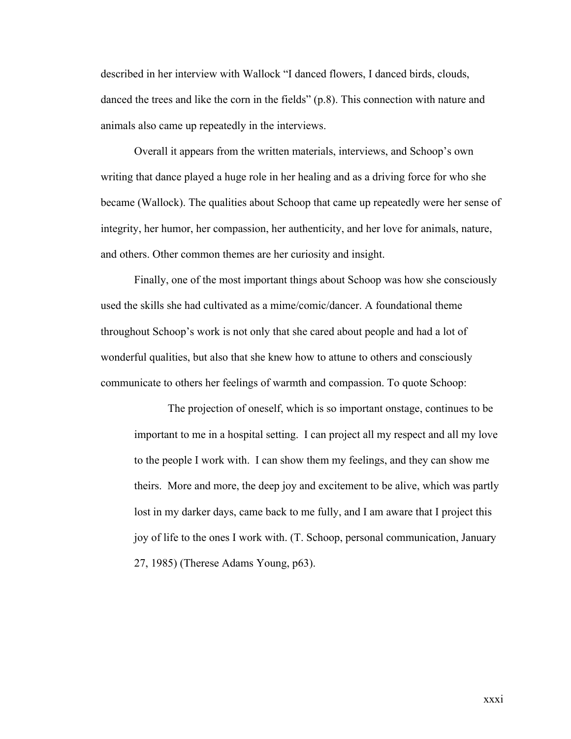described in her interview with Wallock "I danced flowers, I danced birds, clouds, danced the trees and like the corn in the fields" (p.8). This connection with nature and animals also came up repeatedly in the interviews.

Overall it appears from the written materials, interviews, and Schoop's own writing that dance played a huge role in her healing and as a driving force for who she became (Wallock). The qualities about Schoop that came up repeatedly were her sense of integrity, her humor, her compassion, her authenticity, and her love for animals, nature, and others. Other common themes are her curiosity and insight.

Finally, one of the most important things about Schoop was how she consciously used the skills she had cultivated as a mime/comic/dancer. A foundational theme throughout Schoop's work is not only that she cared about people and had a lot of wonderful qualities, but also that she knew how to attune to others and consciously communicate to others her feelings of warmth and compassion. To quote Schoop:

The projection of oneself, which is so important onstage, continues to be important to me in a hospital setting. I can project all my respect and all my love to the people I work with. I can show them my feelings, and they can show me theirs. More and more, the deep joy and excitement to be alive, which was partly lost in my darker days, came back to me fully, and I am aware that I project this joy of life to the ones I work with. (T. Schoop, personal communication, January 27, 1985) (Therese Adams Young, p63).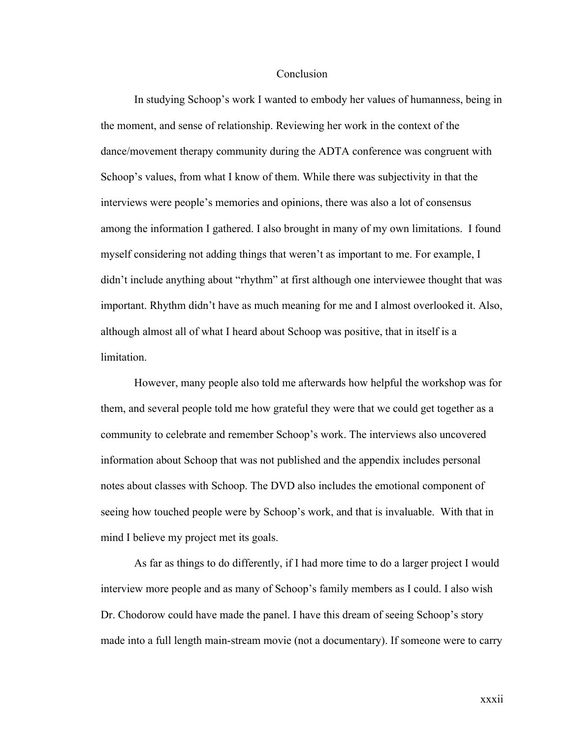#### **Conclusion**

In studying Schoop's work I wanted to embody her values of humanness, being in the moment, and sense of relationship. Reviewing her work in the context of the dance/movement therapy community during the ADTA conference was congruent with Schoop's values, from what I know of them. While there was subjectivity in that the interviews were people's memories and opinions, there was also a lot of consensus among the information I gathered. I also brought in many of my own limitations. I found myself considering not adding things that weren't as important to me. For example, I didn't include anything about "rhythm" at first although one interviewee thought that was important. Rhythm didn't have as much meaning for me and I almost overlooked it. Also, although almost all of what I heard about Schoop was positive, that in itself is a limitation.

However, many people also told me afterwards how helpful the workshop was for them, and several people told me how grateful they were that we could get together as a community to celebrate and remember Schoop's work. The interviews also uncovered information about Schoop that was not published and the appendix includes personal notes about classes with Schoop. The DVD also includes the emotional component of seeing how touched people were by Schoop's work, and that is invaluable. With that in mind I believe my project met its goals.

As far as things to do differently, if I had more time to do a larger project I would interview more people and as many of Schoop's family members as I could. I also wish Dr. Chodorow could have made the panel. I have this dream of seeing Schoop's story made into a full length main-stream movie (not a documentary). If someone were to carry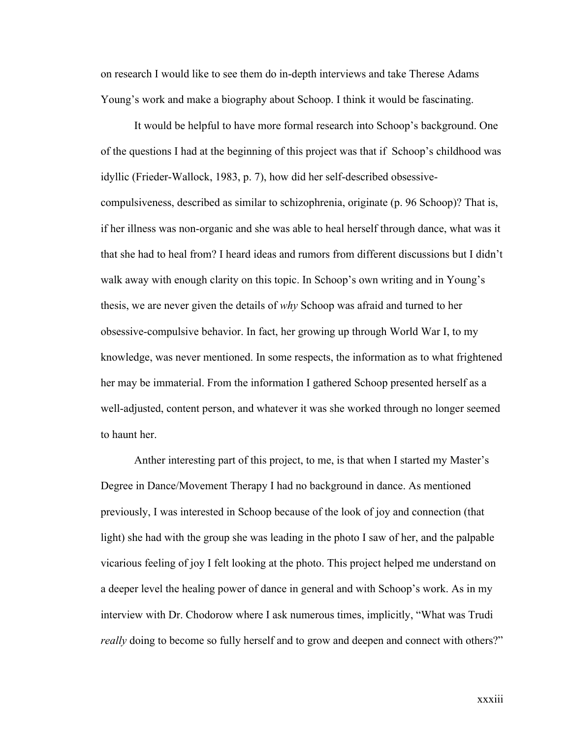on research I would like to see them do in-depth interviews and take Therese Adams Young's work and make a biography about Schoop. I think it would be fascinating.

It would be helpful to have more formal research into Schoop's background. One of the questions I had at the beginning of this project was that if Schoop's childhood was idyllic (Frieder-Wallock, 1983, p. 7), how did her self-described obsessivecompulsiveness, described as similar to schizophrenia, originate (p. 96 Schoop)? That is, if her illness was non-organic and she was able to heal herself through dance, what was it that she had to heal from? I heard ideas and rumors from different discussions but I didn't walk away with enough clarity on this topic. In Schoop's own writing and in Young's thesis, we are never given the details of *why* Schoop was afraid and turned to her obsessive-compulsive behavior. In fact, her growing up through World War I, to my knowledge, was never mentioned. In some respects, the information as to what frightened her may be immaterial. From the information I gathered Schoop presented herself as a well-adjusted, content person, and whatever it was she worked through no longer seemed to haunt her.

Anther interesting part of this project, to me, is that when I started my Master's Degree in Dance/Movement Therapy I had no background in dance. As mentioned previously, I was interested in Schoop because of the look of joy and connection (that light) she had with the group she was leading in the photo I saw of her, and the palpable vicarious feeling of joy I felt looking at the photo. This project helped me understand on a deeper level the healing power of dance in general and with Schoop's work. As in my interview with Dr. Chodorow where I ask numerous times, implicitly, "What was Trudi *really* doing to become so fully herself and to grow and deepen and connect with others?"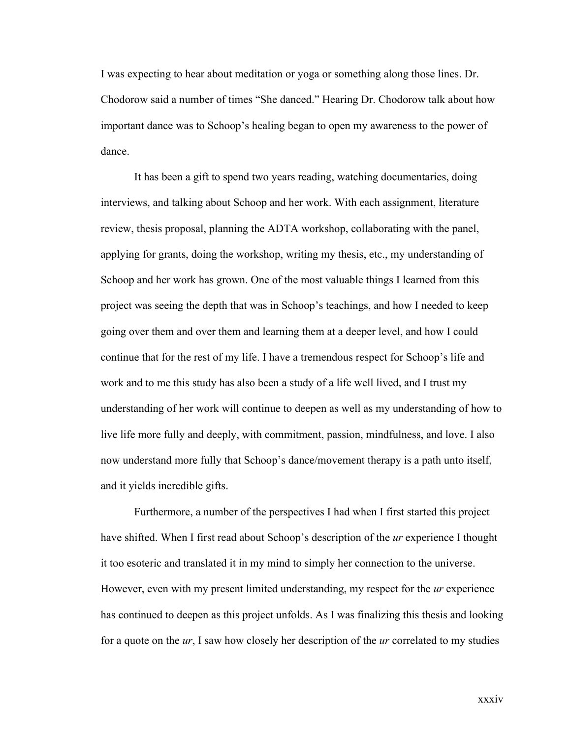I was expecting to hear about meditation or yoga or something along those lines. Dr. Chodorow said a number of times "She danced." Hearing Dr. Chodorow talk about how important dance was to Schoop's healing began to open my awareness to the power of dance.

It has been a gift to spend two years reading, watching documentaries, doing interviews, and talking about Schoop and her work. With each assignment, literature review, thesis proposal, planning the ADTA workshop, collaborating with the panel, applying for grants, doing the workshop, writing my thesis, etc., my understanding of Schoop and her work has grown. One of the most valuable things I learned from this project was seeing the depth that was in Schoop's teachings, and how I needed to keep going over them and over them and learning them at a deeper level, and how I could continue that for the rest of my life. I have a tremendous respect for Schoop's life and work and to me this study has also been a study of a life well lived, and I trust my understanding of her work will continue to deepen as well as my understanding of how to live life more fully and deeply, with commitment, passion, mindfulness, and love. I also now understand more fully that Schoop's dance/movement therapy is a path unto itself, and it yields incredible gifts.

Furthermore, a number of the perspectives I had when I first started this project have shifted. When I first read about Schoop's description of the *ur* experience I thought it too esoteric and translated it in my mind to simply her connection to the universe. However, even with my present limited understanding, my respect for the *ur* experience has continued to deepen as this project unfolds. As I was finalizing this thesis and looking for a quote on the *ur*, I saw how closely her description of the *ur* correlated to my studies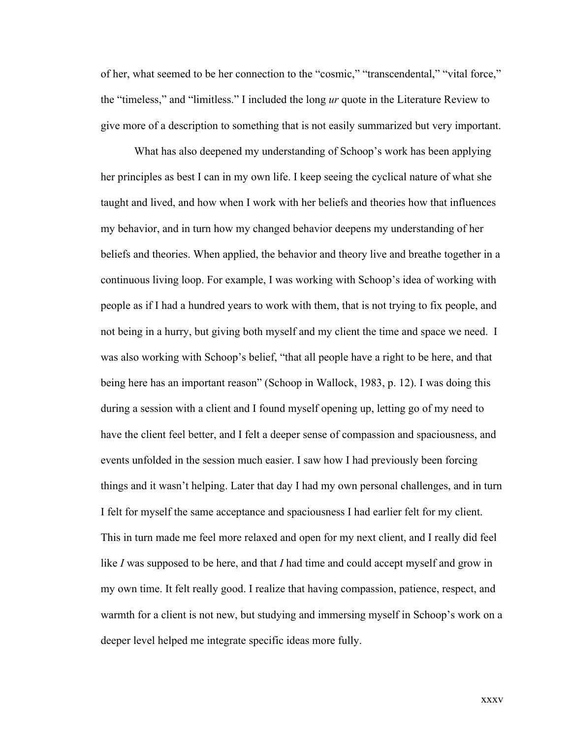of her, what seemed to be her connection to the "cosmic," "transcendental," "vital force," the "timeless," and "limitless." I included the long *ur* quote in the Literature Review to give more of a description to something that is not easily summarized but very important.

What has also deepened my understanding of Schoop's work has been applying her principles as best I can in my own life. I keep seeing the cyclical nature of what she taught and lived, and how when I work with her beliefs and theories how that influences my behavior, and in turn how my changed behavior deepens my understanding of her beliefs and theories. When applied, the behavior and theory live and breathe together in a continuous living loop. For example, I was working with Schoop's idea of working with people as if I had a hundred years to work with them, that is not trying to fix people, and not being in a hurry, but giving both myself and my client the time and space we need. I was also working with Schoop's belief, "that all people have a right to be here, and that being here has an important reason" (Schoop in Wallock, 1983, p. 12). I was doing this during a session with a client and I found myself opening up, letting go of my need to have the client feel better, and I felt a deeper sense of compassion and spaciousness, and events unfolded in the session much easier. I saw how I had previously been forcing things and it wasn't helping. Later that day I had my own personal challenges, and in turn I felt for myself the same acceptance and spaciousness I had earlier felt for my client. This in turn made me feel more relaxed and open for my next client, and I really did feel like *I* was supposed to be here, and that *I* had time and could accept myself and grow in my own time. It felt really good. I realize that having compassion, patience, respect, and warmth for a client is not new, but studying and immersing myself in Schoop's work on a deeper level helped me integrate specific ideas more fully.

xxxv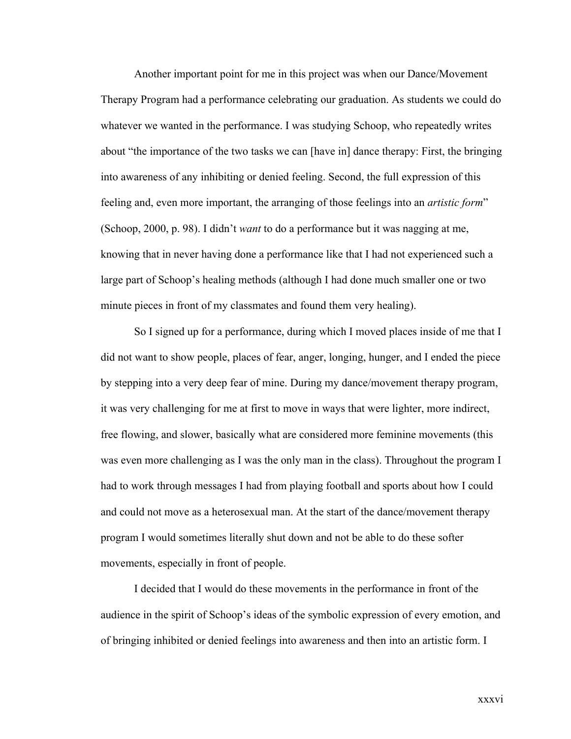Another important point for me in this project was when our Dance/Movement Therapy Program had a performance celebrating our graduation. As students we could do whatever we wanted in the performance. I was studying Schoop, who repeatedly writes about "the importance of the two tasks we can [have in] dance therapy: First, the bringing into awareness of any inhibiting or denied feeling. Second, the full expression of this feeling and, even more important, the arranging of those feelings into an *artistic form*" (Schoop, 2000, p. 98). I didn't *want* to do a performance but it was nagging at me, knowing that in never having done a performance like that I had not experienced such a large part of Schoop's healing methods (although I had done much smaller one or two minute pieces in front of my classmates and found them very healing).

So I signed up for a performance, during which I moved places inside of me that I did not want to show people, places of fear, anger, longing, hunger, and I ended the piece by stepping into a very deep fear of mine. During my dance/movement therapy program, it was very challenging for me at first to move in ways that were lighter, more indirect, free flowing, and slower, basically what are considered more feminine movements (this was even more challenging as I was the only man in the class). Throughout the program I had to work through messages I had from playing football and sports about how I could and could not move as a heterosexual man. At the start of the dance/movement therapy program I would sometimes literally shut down and not be able to do these softer movements, especially in front of people.

I decided that I would do these movements in the performance in front of the audience in the spirit of Schoop's ideas of the symbolic expression of every emotion, and of bringing inhibited or denied feelings into awareness and then into an artistic form. I

xxxvi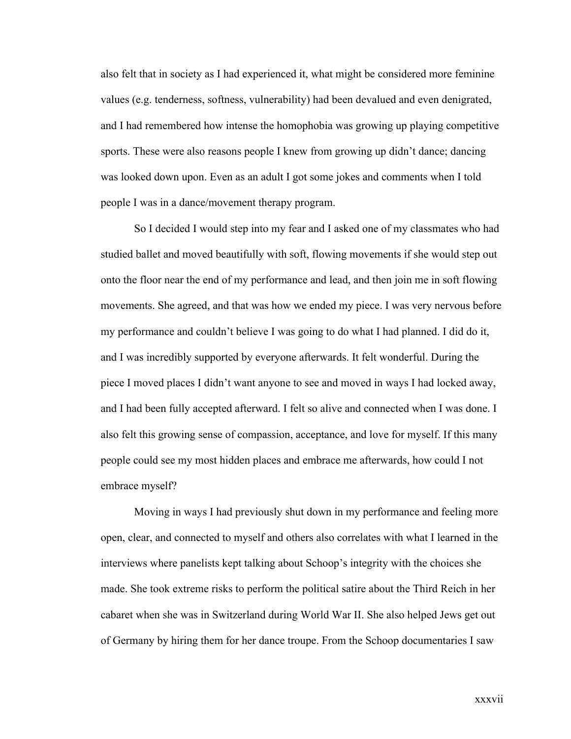also felt that in society as I had experienced it, what might be considered more feminine values (e.g. tenderness, softness, vulnerability) had been devalued and even denigrated, and I had remembered how intense the homophobia was growing up playing competitive sports. These were also reasons people I knew from growing up didn't dance; dancing was looked down upon. Even as an adult I got some jokes and comments when I told people I was in a dance/movement therapy program.

So I decided I would step into my fear and I asked one of my classmates who had studied ballet and moved beautifully with soft, flowing movements if she would step out onto the floor near the end of my performance and lead, and then join me in soft flowing movements. She agreed, and that was how we ended my piece. I was very nervous before my performance and couldn't believe I was going to do what I had planned. I did do it, and I was incredibly supported by everyone afterwards. It felt wonderful. During the piece I moved places I didn't want anyone to see and moved in ways I had locked away, and I had been fully accepted afterward. I felt so alive and connected when I was done. I also felt this growing sense of compassion, acceptance, and love for myself. If this many people could see my most hidden places and embrace me afterwards, how could I not embrace myself?

Moving in ways I had previously shut down in my performance and feeling more open, clear, and connected to myself and others also correlates with what I learned in the interviews where panelists kept talking about Schoop's integrity with the choices she made. She took extreme risks to perform the political satire about the Third Reich in her cabaret when she was in Switzerland during World War II. She also helped Jews get out of Germany by hiring them for her dance troupe. From the Schoop documentaries I saw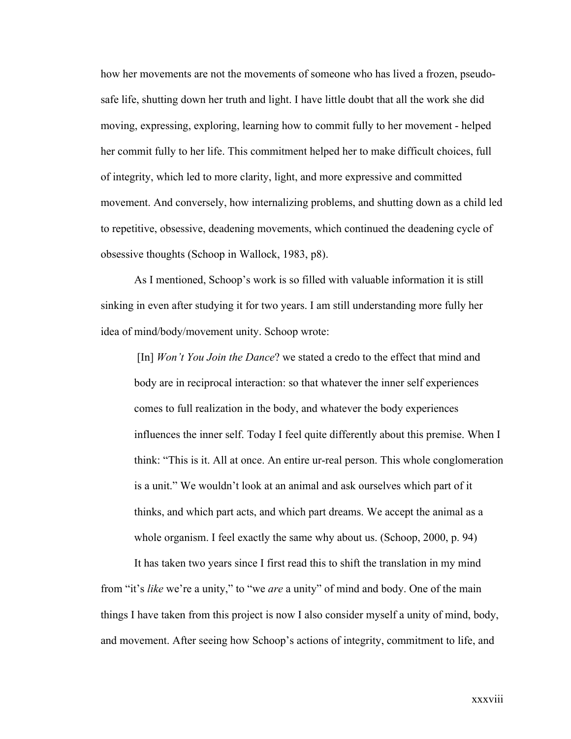how her movements are not the movements of someone who has lived a frozen, pseudosafe life, shutting down her truth and light. I have little doubt that all the work she did moving, expressing, exploring, learning how to commit fully to her movement - helped her commit fully to her life. This commitment helped her to make difficult choices, full of integrity, which led to more clarity, light, and more expressive and committed movement. And conversely, how internalizing problems, and shutting down as a child led to repetitive, obsessive, deadening movements, which continued the deadening cycle of obsessive thoughts (Schoop in Wallock, 1983, p8).

As I mentioned, Schoop's work is so filled with valuable information it is still sinking in even after studying it for two years. I am still understanding more fully her idea of mind/body/movement unity. Schoop wrote:

 [In] *Won't You Join the Dance*? we stated a credo to the effect that mind and body are in reciprocal interaction: so that whatever the inner self experiences comes to full realization in the body, and whatever the body experiences influences the inner self. Today I feel quite differently about this premise. When I think: "This is it. All at once. An entire ur-real person. This whole conglomeration is a unit." We wouldn't look at an animal and ask ourselves which part of it thinks, and which part acts, and which part dreams. We accept the animal as a whole organism. I feel exactly the same why about us. (Schoop, 2000, p. 94)

It has taken two years since I first read this to shift the translation in my mind from "it's *like* we're a unity," to "we *are* a unity" of mind and body. One of the main things I have taken from this project is now I also consider myself a unity of mind, body, and movement. After seeing how Schoop's actions of integrity, commitment to life, and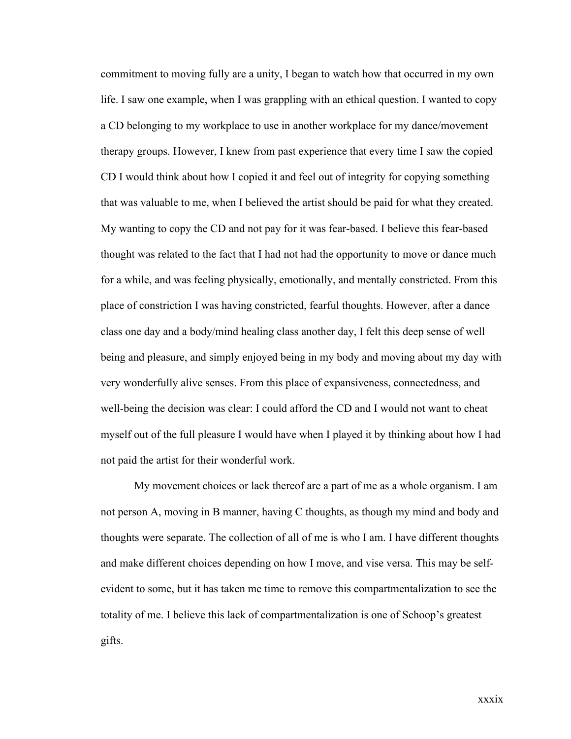commitment to moving fully are a unity, I began to watch how that occurred in my own life. I saw one example, when I was grappling with an ethical question. I wanted to copy a CD belonging to my workplace to use in another workplace for my dance/movement therapy groups. However, I knew from past experience that every time I saw the copied CD I would think about how I copied it and feel out of integrity for copying something that was valuable to me, when I believed the artist should be paid for what they created. My wanting to copy the CD and not pay for it was fear-based. I believe this fear-based thought was related to the fact that I had not had the opportunity to move or dance much for a while, and was feeling physically, emotionally, and mentally constricted. From this place of constriction I was having constricted, fearful thoughts. However, after a dance class one day and a body/mind healing class another day, I felt this deep sense of well being and pleasure, and simply enjoyed being in my body and moving about my day with very wonderfully alive senses. From this place of expansiveness, connectedness, and well-being the decision was clear: I could afford the CD and I would not want to cheat myself out of the full pleasure I would have when I played it by thinking about how I had not paid the artist for their wonderful work.

My movement choices or lack thereof are a part of me as a whole organism. I am not person A, moving in B manner, having C thoughts, as though my mind and body and thoughts were separate. The collection of all of me is who I am. I have different thoughts and make different choices depending on how I move, and vise versa. This may be selfevident to some, but it has taken me time to remove this compartmentalization to see the totality of me. I believe this lack of compartmentalization is one of Schoop's greatest gifts.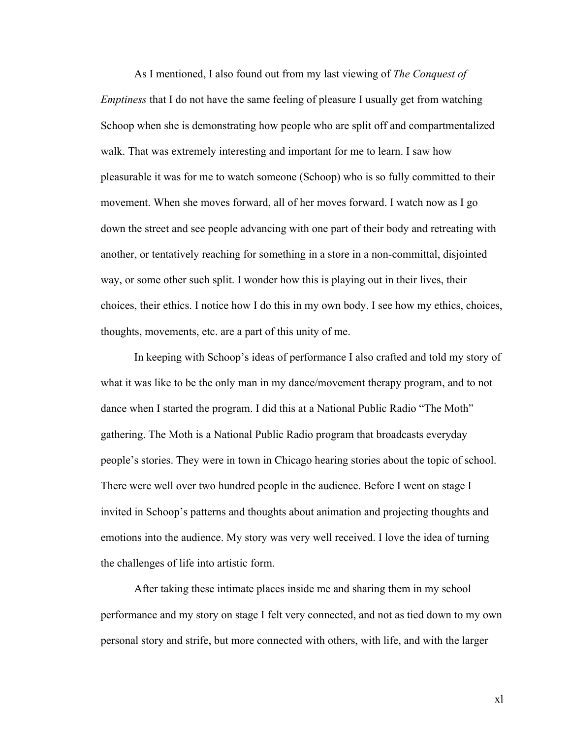As I mentioned, I also found out from my last viewing of *The Conquest of Emptiness* that I do not have the same feeling of pleasure I usually get from watching Schoop when she is demonstrating how people who are split off and compartmentalized walk. That was extremely interesting and important for me to learn. I saw how pleasurable it was for me to watch someone (Schoop) who is so fully committed to their movement. When she moves forward, all of her moves forward. I watch now as I go down the street and see people advancing with one part of their body and retreating with another, or tentatively reaching for something in a store in a non-committal, disjointed way, or some other such split. I wonder how this is playing out in their lives, their choices, their ethics. I notice how I do this in my own body. I see how my ethics, choices, thoughts, movements, etc. are a part of this unity of me.

In keeping with Schoop's ideas of performance I also crafted and told my story of what it was like to be the only man in my dance/movement therapy program, and to not dance when I started the program. I did this at a National Public Radio "The Moth" gathering. The Moth is a National Public Radio program that broadcasts everyday people's stories. They were in town in Chicago hearing stories about the topic of school. There were well over two hundred people in the audience. Before I went on stage I invited in Schoop's patterns and thoughts about animation and projecting thoughts and emotions into the audience. My story was very well received. I love the idea of turning the challenges of life into artistic form.

After taking these intimate places inside me and sharing them in my school performance and my story on stage I felt very connected, and not as tied down to my own personal story and strife, but more connected with others, with life, and with the larger

xl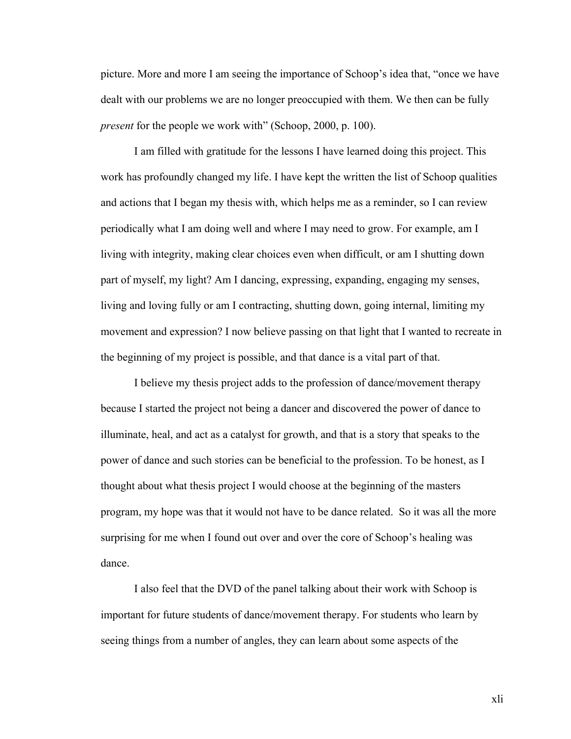picture. More and more I am seeing the importance of Schoop's idea that, "once we have dealt with our problems we are no longer preoccupied with them. We then can be fully *present* for the people we work with" (Schoop, 2000, p. 100).

I am filled with gratitude for the lessons I have learned doing this project. This work has profoundly changed my life. I have kept the written the list of Schoop qualities and actions that I began my thesis with, which helps me as a reminder, so I can review periodically what I am doing well and where I may need to grow. For example, am I living with integrity, making clear choices even when difficult, or am I shutting down part of myself, my light? Am I dancing, expressing, expanding, engaging my senses, living and loving fully or am I contracting, shutting down, going internal, limiting my movement and expression? I now believe passing on that light that I wanted to recreate in the beginning of my project is possible, and that dance is a vital part of that.

I believe my thesis project adds to the profession of dance/movement therapy because I started the project not being a dancer and discovered the power of dance to illuminate, heal, and act as a catalyst for growth, and that is a story that speaks to the power of dance and such stories can be beneficial to the profession. To be honest, as I thought about what thesis project I would choose at the beginning of the masters program, my hope was that it would not have to be dance related. So it was all the more surprising for me when I found out over and over the core of Schoop's healing was dance.

I also feel that the DVD of the panel talking about their work with Schoop is important for future students of dance/movement therapy. For students who learn by seeing things from a number of angles, they can learn about some aspects of the

xli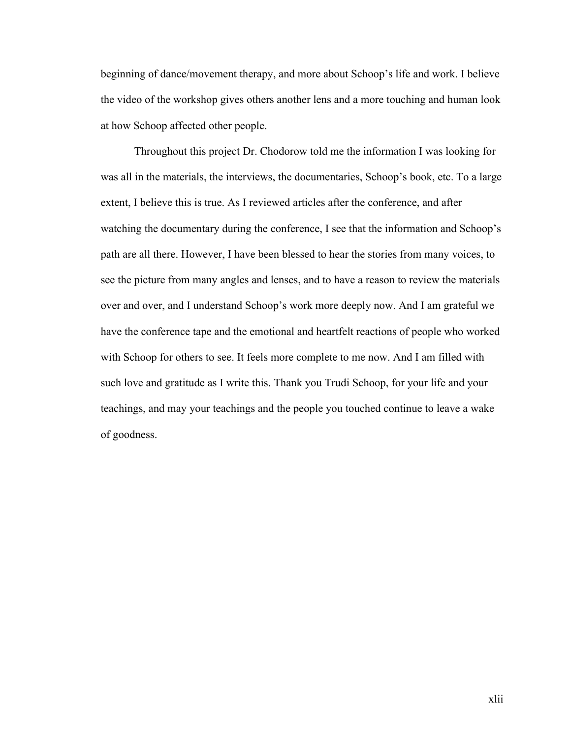beginning of dance/movement therapy, and more about Schoop's life and work. I believe the video of the workshop gives others another lens and a more touching and human look at how Schoop affected other people.

Throughout this project Dr. Chodorow told me the information I was looking for was all in the materials, the interviews, the documentaries, Schoop's book, etc. To a large extent, I believe this is true. As I reviewed articles after the conference, and after watching the documentary during the conference, I see that the information and Schoop's path are all there. However, I have been blessed to hear the stories from many voices, to see the picture from many angles and lenses, and to have a reason to review the materials over and over, and I understand Schoop's work more deeply now. And I am grateful we have the conference tape and the emotional and heartfelt reactions of people who worked with Schoop for others to see. It feels more complete to me now. And I am filled with such love and gratitude as I write this. Thank you Trudi Schoop, for your life and your teachings, and may your teachings and the people you touched continue to leave a wake of goodness.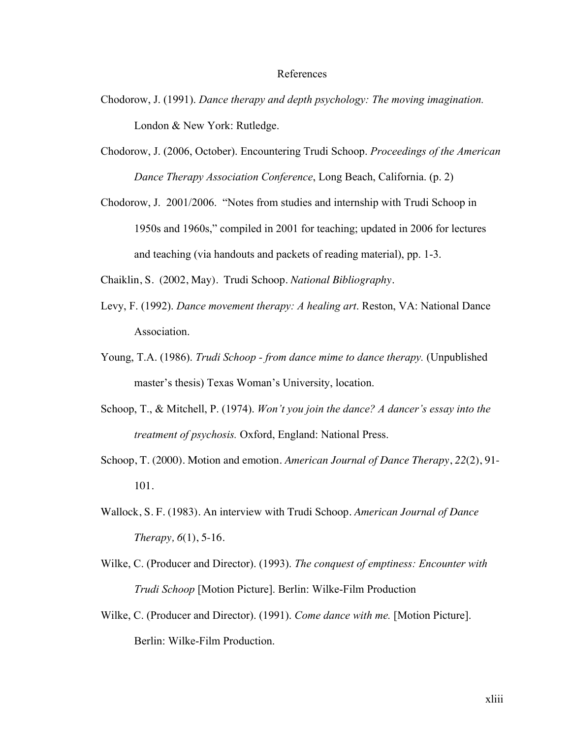#### References

- Chodorow, J. (1991). *Dance therapy and depth psychology: The moving imagination.* London & New York: Rutledge.
- Chodorow, J. (2006, October). Encountering Trudi Schoop. *Proceedings of the American Dance Therapy Association Conference*, Long Beach, California. (p. 2)
- Chodorow, J. 2001/2006. "Notes from studies and internship with Trudi Schoop in 1950s and 1960s," compiled in 2001 for teaching; updated in 2006 for lectures and teaching (via handouts and packets of reading material), pp. 1-3.

Chaiklin, S. (2002, May). Trudi Schoop. *National Bibliography.* 

- Levy, F. (1992). *Dance movement therapy: A healing art*. Reston, VA: National Dance Association.
- Young, T.A. (1986). *Trudi Schoop from dance mime to dance therapy.* (Unpublished master's thesis) Texas Woman's University, location.
- Schoop, T., & Mitchell, P. (1974). *Won't you join the dance? A dancer's essay into the treatment of psychosis.* Oxford, England: National Press.
- Schoop, T. (2000). Motion and emotion. *American Journal of Dance Therapy*, *22*(2), 91- 101.
- Wallock, S. F. (1983). An interview with Trudi Schoop. *American Journal of Dance Therapy, 6*(1), 5-16.
- Wilke, C. (Producer and Director). (1993). *The conquest of emptiness: Encounter with Trudi Schoop* [Motion Picture]. Berlin: Wilke-Film Production
- Wilke, C. (Producer and Director). (1991). *Come dance with me.* [Motion Picture]. Berlin: Wilke-Film Production.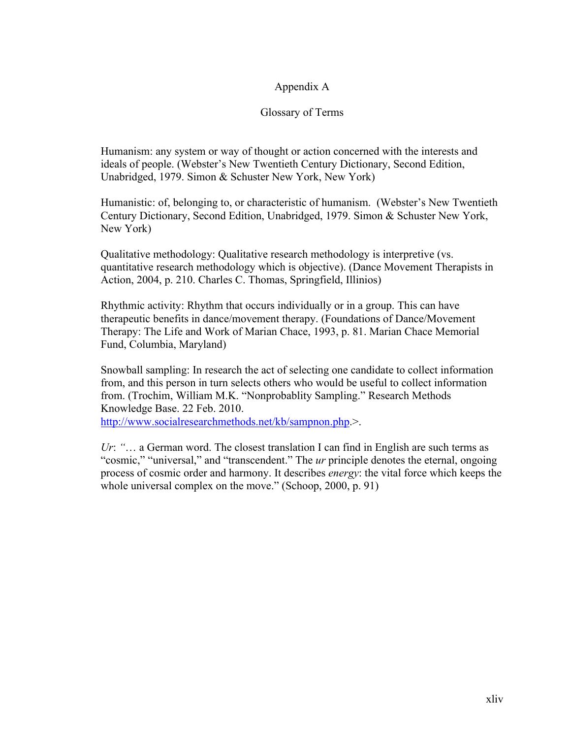## Appendix A

## Glossary of Terms

Humanism: any system or way of thought or action concerned with the interests and ideals of people. (Webster's New Twentieth Century Dictionary, Second Edition, Unabridged, 1979. Simon & Schuster New York, New York)

Humanistic: of, belonging to, or characteristic of humanism. (Webster's New Twentieth Century Dictionary, Second Edition, Unabridged, 1979. Simon & Schuster New York, New York)

Qualitative methodology: Qualitative research methodology is interpretive (vs. quantitative research methodology which is objective). (Dance Movement Therapists in Action, 2004, p. 210. Charles C. Thomas, Springfield, Illinios)

Rhythmic activity: Rhythm that occurs individually or in a group. This can have therapeutic benefits in dance/movement therapy. (Foundations of Dance/Movement Therapy: The Life and Work of Marian Chace, 1993, p. 81. Marian Chace Memorial Fund, Columbia, Maryland)

Snowball sampling: In research the act of selecting one candidate to collect information from, and this person in turn selects others who would be useful to collect information from. (Trochim, William M.K. "Nonprobablity Sampling." Research Methods Knowledge Base. 22 Feb. 2010.

http://www.socialresearchmethods.net/kb/sampnon.php.>.

*Ur*: *"*… a German word. The closest translation I can find in English are such terms as "cosmic," "universal," and "transcendent." The *ur* principle denotes the eternal, ongoing process of cosmic order and harmony. It describes *energy*: the vital force which keeps the whole universal complex on the move." (Schoop, 2000, p. 91)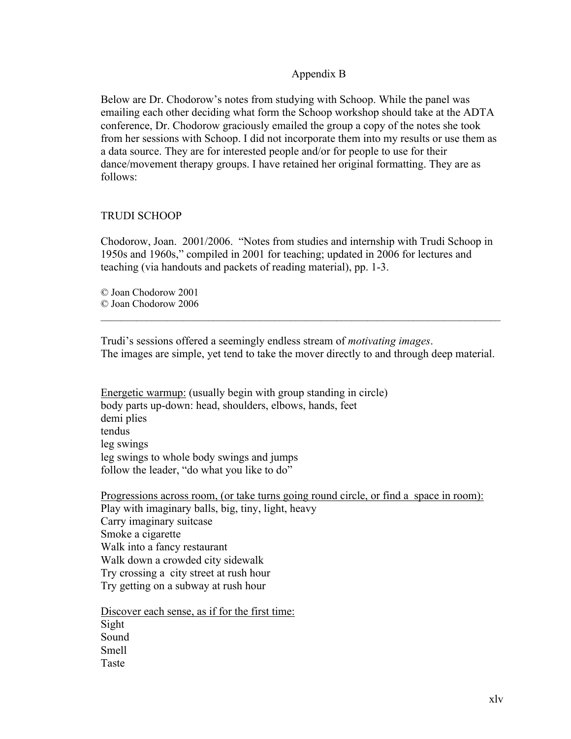## Appendix B

Below are Dr. Chodorow's notes from studying with Schoop. While the panel was emailing each other deciding what form the Schoop workshop should take at the ADTA conference, Dr. Chodorow graciously emailed the group a copy of the notes she took from her sessions with Schoop. I did not incorporate them into my results or use them as a data source. They are for interested people and/or for people to use for their dance/movement therapy groups. I have retained her original formatting. They are as follows:

## TRUDI SCHOOP

Chodorow, Joan. 2001/2006. "Notes from studies and internship with Trudi Schoop in 1950s and 1960s," compiled in 2001 for teaching; updated in 2006 for lectures and teaching (via handouts and packets of reading material), pp. 1-3.

© Joan Chodorow 2001 © Joan Chodorow 2006

Trudi's sessions offered a seemingly endless stream of *motivating images*. The images are simple, yet tend to take the mover directly to and through deep material.

 $\mathcal{L}_\mathcal{L} = \{ \mathcal{L}_\mathcal{L} = \{ \mathcal{L}_\mathcal{L} = \{ \mathcal{L}_\mathcal{L} = \{ \mathcal{L}_\mathcal{L} = \{ \mathcal{L}_\mathcal{L} = \{ \mathcal{L}_\mathcal{L} = \{ \mathcal{L}_\mathcal{L} = \{ \mathcal{L}_\mathcal{L} = \{ \mathcal{L}_\mathcal{L} = \{ \mathcal{L}_\mathcal{L} = \{ \mathcal{L}_\mathcal{L} = \{ \mathcal{L}_\mathcal{L} = \{ \mathcal{L}_\mathcal{L} = \{ \mathcal{L}_\mathcal{$ 

Energetic warmup: (usually begin with group standing in circle) body parts up-down: head, shoulders, elbows, hands, feet demi plies tendus leg swings leg swings to whole body swings and jumps follow the leader, "do what you like to do"

Progressions across room, (or take turns going round circle, or find a space in room): Play with imaginary balls, big, tiny, light, heavy Carry imaginary suitcase Smoke a cigarette Walk into a fancy restaurant Walk down a crowded city sidewalk Try crossing a city street at rush hour Try getting on a subway at rush hour

Discover each sense, as if for the first time: Sight Sound Smell Taste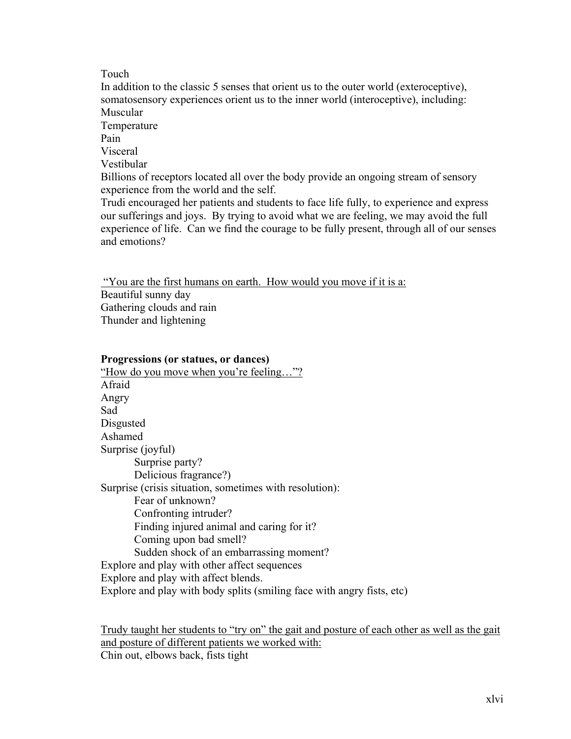## Touch

In addition to the classic 5 senses that orient us to the outer world (exteroceptive), somatosensory experiences orient us to the inner world (interoceptive), including: Muscular **Temperature** Pain Visceral Vestibular Billions of receptors located all over the body provide an ongoing stream of sensory experience from the world and the self. Trudi encouraged her patients and students to face life fully, to experience and express our sufferings and joys. By trying to avoid what we are feeling, we may avoid the full experience of life. Can we find the courage to be fully present, through all of our senses and emotions?

"You are the first humans on earth. How would you move if it is a:

Beautiful sunny day Gathering clouds and rain Thunder and lightening

## **Progressions (or statues, or dances)**

"How do you move when you're feeling…"? Afraid Angry Sad **Disgusted** Ashamed Surprise (joyful) Surprise party? Delicious fragrance?) Surprise (crisis situation, sometimes with resolution): Fear of unknown? Confronting intruder? Finding injured animal and caring for it? Coming upon bad smell? Sudden shock of an embarrassing moment? Explore and play with other affect sequences Explore and play with affect blends. Explore and play with body splits (smiling face with angry fists, etc)

Trudy taught her students to "try on" the gait and posture of each other as well as the gait and posture of different patients we worked with: Chin out, elbows back, fists tight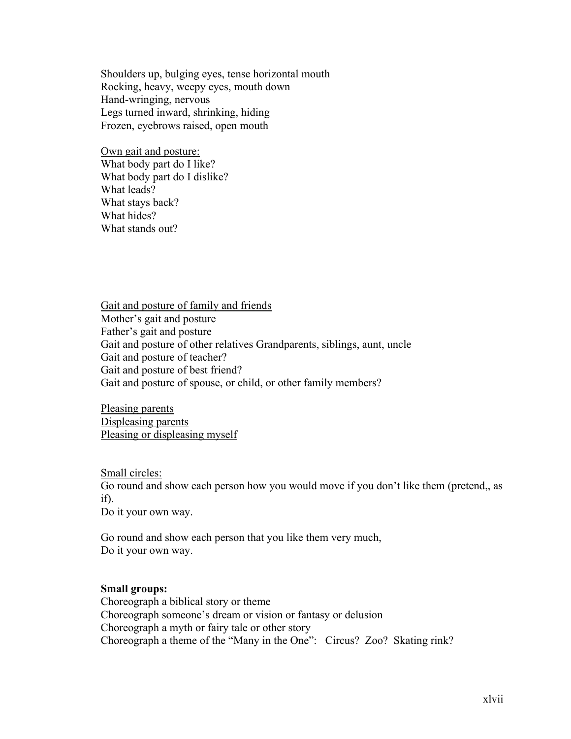Shoulders up, bulging eyes, tense horizontal mouth Rocking, heavy, weepy eyes, mouth down Hand-wringing, nervous Legs turned inward, shrinking, hiding Frozen, eyebrows raised, open mouth

Own gait and posture: What body part do I like? What body part do I dislike? What leads? What stays back? What hides? What stands out?

Gait and posture of family and friends Mother's gait and posture Father's gait and posture Gait and posture of other relatives Grandparents, siblings, aunt, uncle Gait and posture of teacher? Gait and posture of best friend? Gait and posture of spouse, or child, or other family members?

Pleasing parents Displeasing parents Pleasing or displeasing myself

Small circles: Go round and show each person how you would move if you don't like them (pretend,, as if). Do it your own way.

Go round and show each person that you like them very much, Do it your own way.

#### **Small groups:**

Choreograph a biblical story or theme Choreograph someone's dream or vision or fantasy or delusion Choreograph a myth or fairy tale or other story Choreograph a theme of the "Many in the One": Circus? Zoo? Skating rink?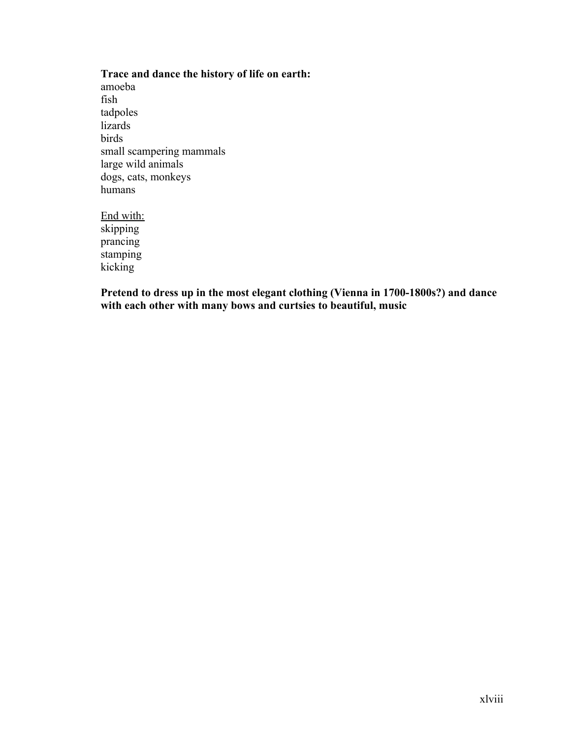## **Trace and dance the history of life on earth:**

amoeba fish tadpoles lizards birds small scampering mammals large wild animals dogs, cats, monkeys humans

End with: skipping prancing stamping kicking

**Pretend to dress up in the most elegant clothing (Vienna in 1700-1800s?) and dance with each other with many bows and curtsies to beautiful, music**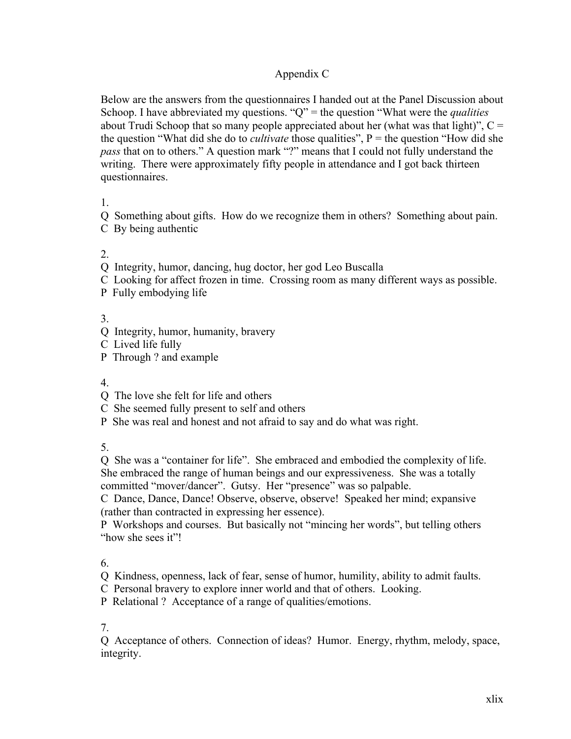## Appendix C

Below are the answers from the questionnaires I handed out at the Panel Discussion about Schoop. I have abbreviated my questions. "Q" = the question "What were the *qualities* about Trudi Schoop that so many people appreciated about her (what was that light)",  $C =$ the question "What did she do to *cultivate* those qualities", P = the question "How did she *pass* that on to others." A question mark "?" means that I could not fully understand the writing. There were approximately fifty people in attendance and I got back thirteen questionnaires.

1.

Q Something about gifts. How do we recognize them in others? Something about pain.

C By being authentic

 $2<sup>2</sup>$ 

Q Integrity, humor, dancing, hug doctor, her god Leo Buscalla

- C Looking for affect frozen in time. Crossing room as many different ways as possible.
- P Fully embodying life

3.

- Q Integrity, humor, humanity, bravery
- C Lived life fully
- P Through ? and example

4.

- Q The love she felt for life and others
- C She seemed fully present to self and others
- P She was real and honest and not afraid to say and do what was right.

5.

Q She was a "container for life". She embraced and embodied the complexity of life. She embraced the range of human beings and our expressiveness. She was a totally committed "mover/dancer". Gutsy. Her "presence" was so palpable.

C Dance, Dance, Dance! Observe, observe, observe! Speaked her mind; expansive (rather than contracted in expressing her essence).

P Workshops and courses. But basically not "mincing her words", but telling others "how she sees it"!

6.

Q Kindness, openness, lack of fear, sense of humor, humility, ability to admit faults.

C Personal bravery to explore inner world and that of others. Looking.

P Relational ? Acceptance of a range of qualities/emotions.

7.

Q Acceptance of others. Connection of ideas? Humor. Energy, rhythm, melody, space, integrity.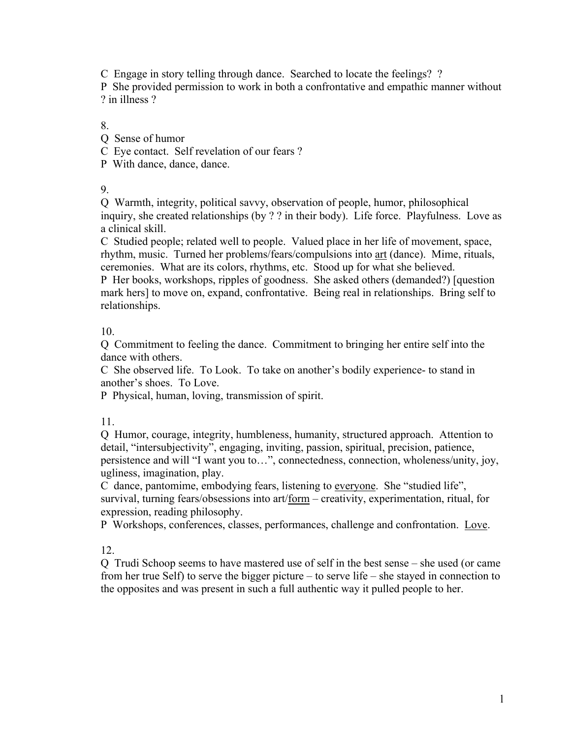C Engage in story telling through dance. Searched to locate the feelings? ?

P She provided permission to work in both a confrontative and empathic manner without ? in illness ?

8.

Q Sense of humor

C Eye contact. Self revelation of our fears ?

P With dance, dance, dance.

9.

Q Warmth, integrity, political savvy, observation of people, humor, philosophical inquiry, she created relationships (by ? ? in their body). Life force. Playfulness. Love as a clinical skill.

C Studied people; related well to people. Valued place in her life of movement, space, rhythm, music. Turned her problems/fears/compulsions into art (dance). Mime, rituals, ceremonies. What are its colors, rhythms, etc. Stood up for what she believed. P Her books, workshops, ripples of goodness. She asked others (demanded?) [question

mark hers] to move on, expand, confrontative. Being real in relationships. Bring self to relationships.

10.

Q Commitment to feeling the dance. Commitment to bringing her entire self into the dance with others.

C She observed life. To Look. To take on another's bodily experience- to stand in another's shoes. To Love.

P Physical, human, loving, transmission of spirit.

11.

Q Humor, courage, integrity, humbleness, humanity, structured approach. Attention to detail, "intersubjectivity", engaging, inviting, passion, spiritual, precision, patience, persistence and will "I want you to…", connectedness, connection, wholeness/unity, joy, ugliness, imagination, play.

C dance, pantomime, embodying fears, listening to everyone. She "studied life", survival, turning fears/obsessions into art/form – creativity, experimentation, ritual, for expression, reading philosophy.

P Workshops, conferences, classes, performances, challenge and confrontation. Love.

12.

Q Trudi Schoop seems to have mastered use of self in the best sense – she used (or came from her true Self) to serve the bigger picture – to serve life – she stayed in connection to the opposites and was present in such a full authentic way it pulled people to her.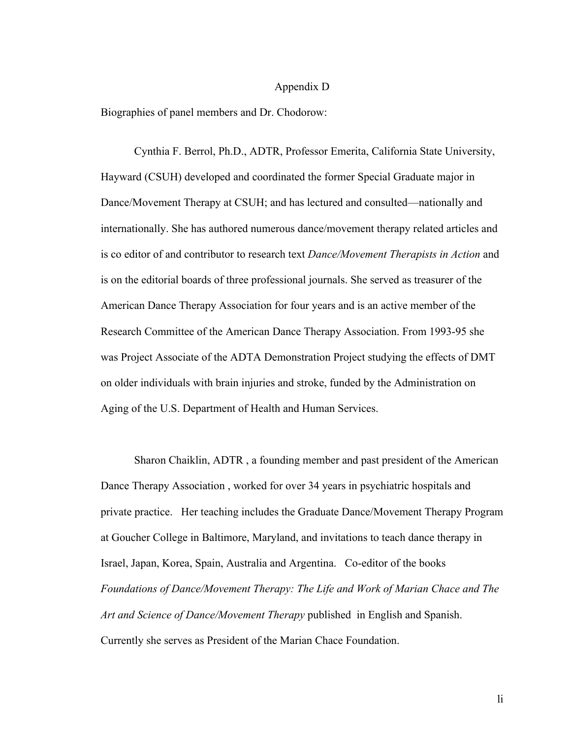### Appendix D

Biographies of panel members and Dr. Chodorow:

Cynthia F. Berrol, Ph.D., ADTR, Professor Emerita, California State University, Hayward (CSUH) developed and coordinated the former Special Graduate major in Dance/Movement Therapy at CSUH; and has lectured and consulted—nationally and internationally. She has authored numerous dance/movement therapy related articles and is co editor of and contributor to research text *Dance/Movement Therapists in Action* and is on the editorial boards of three professional journals. She served as treasurer of the American Dance Therapy Association for four years and is an active member of the Research Committee of the American Dance Therapy Association. From 1993-95 she was Project Associate of the ADTA Demonstration Project studying the effects of DMT on older individuals with brain injuries and stroke, funded by the Administration on Aging of the U.S. Department of Health and Human Services.

Sharon Chaiklin, ADTR , a founding member and past president of the American Dance Therapy Association , worked for over 34 years in psychiatric hospitals and private practice. Her teaching includes the Graduate Dance/Movement Therapy Program at Goucher College in Baltimore, Maryland, and invitations to teach dance therapy in Israel, Japan, Korea, Spain, Australia and Argentina. Co-editor of the books *Foundations of Dance/Movement Therapy: The Life and Work of Marian Chace and The Art and Science of Dance/Movement Therapy* published in English and Spanish. Currently she serves as President of the Marian Chace Foundation.